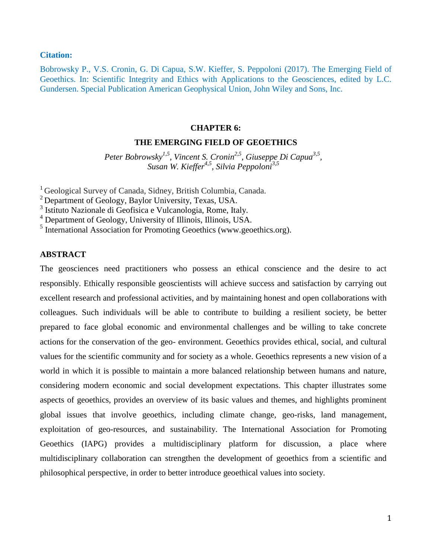#### **Citation:**

Bobrowsky P., V.S. Cronin, G. Di Capua, S.W. Kieffer, S. Peppoloni (2017). The Emerging Field of Geoethics. In: Scientific Integrity and Ethics with Applications to the Geosciences, edited by L.C. Gundersen. Special Publication American Geophysical Union, John Wiley and Sons, Inc.

#### **CHAPTER 6:**

#### **THE EMERGING FIELD OF GEOETHICS**

*Peter Bobrowsky1,5, Vincent S. Cronin2,5, Giuseppe Di Capua3,5 , Susan W. Kieffer4,5, Silvia Peppoloni3,5*

<sup>1</sup> Geological Survey of Canada, Sidney, British Columbia, Canada.

 $2^2$  Department of Geology, Baylor University, Texas, USA.

3 Istituto Nazionale di Geofisica e Vulcanologia, Rome, Italy.

<sup>4</sup> Department of Geology, University of Illinois, Illinois, USA.

<sup>5</sup> International Association for Promoting Geoethics (www.geoethics.org).

#### **ABSTRACT**

The geosciences need practitioners who possess an ethical conscience and the desire to act responsibly. Ethically responsible geoscientists will achieve success and satisfaction by carrying out excellent research and professional activities, and by maintaining honest and open collaborations with colleagues. Such individuals will be able to contribute to building a resilient society, be better prepared to face global economic and environmental challenges and be willing to take concrete actions for the conservation of the geo- environment. Geoethics provides ethical, social, and cultural values for the scientific community and for society as a whole. Geoethics represents a new vision of a world in which it is possible to maintain a more balanced relationship between humans and nature, considering modern economic and social development expectations. This chapter illustrates some aspects of geoethics, provides an overview of its basic values and themes, and highlights prominent global issues that involve geoethics, including climate change, geo-risks, land management, exploitation of geo-resources, and sustainability. The International Association for Promoting Geoethics (IAPG) provides a multidisciplinary platform for discussion, a place where multidisciplinary collaboration can strengthen the development of geoethics from a scientific and philosophical perspective, in order to better introduce geoethical values into society.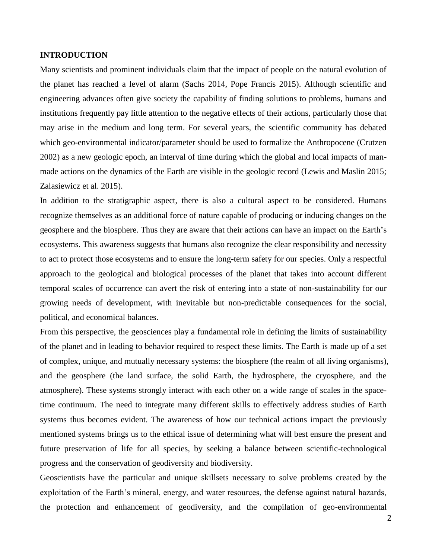#### **INTRODUCTION**

Many scientists and prominent individuals claim that the impact of people on the natural evolution of the planet has reached a level of alarm (Sachs 2014, Pope Francis 2015). Although scientific and engineering advances often give society the capability of finding solutions to problems, humans and institutions frequently pay little attention to the negative effects of their actions, particularly those that may arise in the medium and long term. For several years, the scientific community has debated which geo-environmental indicator/parameter should be used to formalize the Anthropocene (Crutzen 2002) as a new geologic epoch, an interval of time during which the global and local impacts of manmade actions on the dynamics of the Earth are visible in the geologic record (Lewis and Maslin 2015; Zalasiewicz et al. 2015).

In addition to the stratigraphic aspect, there is also a cultural aspect to be considered. Humans recognize themselves as an additional force of nature capable of producing or inducing changes on the geosphere and the biosphere. Thus they are aware that their actions can have an impact on the Earth's ecosystems. This awareness suggests that humans also recognize the clear responsibility and necessity to act to protect those ecosystems and to ensure the long-term safety for our species. Only a respectful approach to the geological and biological processes of the planet that takes into account different temporal scales of occurrence can avert the risk of entering into a state of non-sustainability for our growing needs of development, with inevitable but non-predictable consequences for the social, political, and economical balances.

From this perspective, the geosciences play a fundamental role in defining the limits of sustainability of the planet and in leading to behavior required to respect these limits. The Earth is made up of a set of complex, unique, and mutually necessary systems: the biosphere (the realm of all living organisms), and the geosphere (the land surface, the solid Earth, the hydrosphere, the cryosphere, and the atmosphere). These systems strongly interact with each other on a wide range of scales in the spacetime continuum. The need to integrate many different skills to effectively address studies of Earth systems thus becomes evident. The awareness of how our technical actions impact the previously mentioned systems brings us to the ethical issue of determining what will best ensure the present and future preservation of life for all species, by seeking a balance between scientific-technological progress and the conservation of geodiversity and biodiversity.

Geoscientists have the particular and unique skillsets necessary to solve problems created by the exploitation of the Earth's mineral, energy, and water resources, the defense against natural hazards, the protection and enhancement of geodiversity, and the compilation of geo-environmental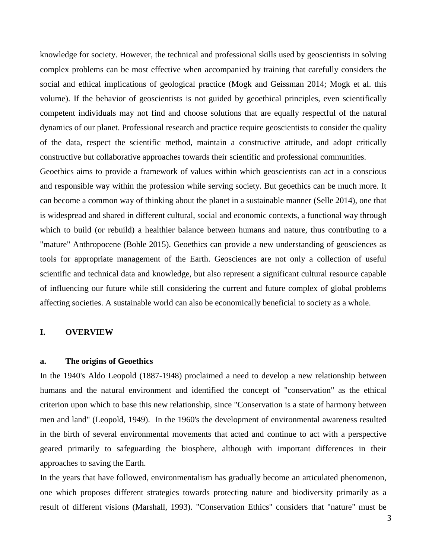knowledge for society. However, the technical and professional skills used by geoscientists in solving complex problems can be most effective when accompanied by training that carefully considers the social and ethical implications of geological practice (Mogk and Geissman 2014; Mogk et al. this volume). If the behavior of geoscientists is not guided by geoethical principles, even scientifically competent individuals may not find and choose solutions that are equally respectful of the natural dynamics of our planet. Professional research and practice require geoscientists to consider the quality of the data, respect the scientific method, maintain a constructive attitude, and adopt critically constructive but collaborative approaches towards their scientific and professional communities.

Geoethics aims to provide a framework of values within which geoscientists can act in a conscious and responsible way within the profession while serving society. But geoethics can be much more. It can become a common way of thinking about the planet in a sustainable manner (Selle 2014), one that is widespread and shared in different cultural, social and economic contexts, a functional way through which to build (or rebuild) a healthier balance between humans and nature, thus contributing to a "mature" Anthropocene (Bohle 2015). Geoethics can provide a new understanding of geosciences as tools for appropriate management of the Earth. Geosciences are not only a collection of useful scientific and technical data and knowledge, but also represent a significant cultural resource capable of influencing our future while still considering the current and future complex of global problems affecting societies. A sustainable world can also be economically beneficial to society as a whole.

#### **I. OVERVIEW**

#### **a. The origins of Geoethics**

In the 1940's Aldo Leopold (1887-1948) proclaimed a need to develop a new relationship between humans and the natural environment and identified the concept of "conservation" as the ethical criterion upon which to base this new relationship, since "Conservation is a state of harmony between men and land" (Leopold, 1949). In the 1960's the development of environmental awareness resulted in the birth of several environmental movements that acted and continue to act with a perspective geared primarily to safeguarding the biosphere, although with important differences in their approaches to saving the Earth.

In the years that have followed, environmentalism has gradually become an articulated phenomenon, one which proposes different strategies towards protecting nature and biodiversity primarily as a result of different visions (Marshall, 1993). "Conservation Ethics" considers that "nature" must be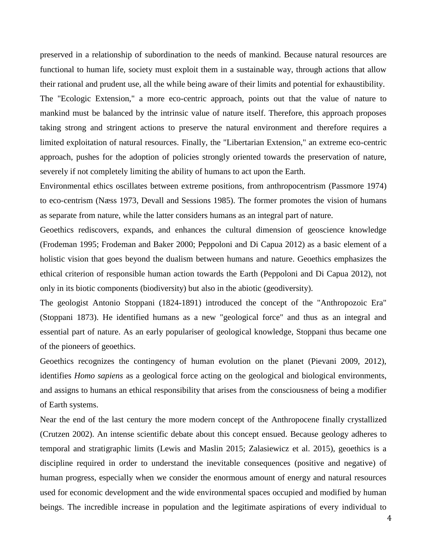preserved in a relationship of subordination to the needs of mankind. Because natural resources are functional to human life, society must exploit them in a sustainable way, through actions that allow their rational and prudent use, all the while being aware of their limits and potential for exhaustibility.

The "Ecologic Extension," a more eco-centric approach, points out that the value of nature to mankind must be balanced by the intrinsic value of nature itself. Therefore, this approach proposes taking strong and stringent actions to preserve the natural environment and therefore requires a limited exploitation of natural resources. Finally, the "Libertarian Extension," an extreme eco-centric approach, pushes for the adoption of policies strongly oriented towards the preservation of nature, severely if not completely limiting the ability of humans to act upon the Earth.

Environmental ethics oscillates between extreme positions, from anthropocentrism (Passmore 1974) to eco-centrism (Næss 1973, Devall and Sessions 1985). The former promotes the vision of humans as separate from nature, while the latter considers humans as an integral part of nature.

Geoethics rediscovers, expands, and enhances the cultural dimension of geoscience knowledge (Frodeman 1995; Frodeman and Baker 2000; Peppoloni and Di Capua 2012) as a basic element of a holistic vision that goes beyond the dualism between humans and nature. Geoethics emphasizes the ethical criterion of responsible human action towards the Earth (Peppoloni and Di Capua 2012), not only in its biotic components (biodiversity) but also in the abiotic (geodiversity).

The geologist Antonio Stoppani (1824-1891) introduced the concept of the "Anthropozoic Era" (Stoppani 1873). He identified humans as a new "geological force" and thus as an integral and essential part of nature. As an early populariser of geological knowledge, Stoppani thus became one of the pioneers of geoethics.

Geoethics recognizes the contingency of human evolution on the planet (Pievani 2009, 2012), identifies *Homo sapiens* as a geological force acting on the geological and biological environments, and assigns to humans an ethical responsibility that arises from the consciousness of being a modifier of Earth systems.

Near the end of the last century the more modern concept of the Anthropocene finally crystallized (Crutzen 2002). An intense scientific debate about this concept ensued. Because geology adheres to temporal and stratigraphic limits (Lewis and Maslin 2015; Zalasiewicz et al. 2015), geoethics is a discipline required in order to understand the inevitable consequences (positive and negative) of human progress, especially when we consider the enormous amount of energy and natural resources used for economic development and the wide environmental spaces occupied and modified by human beings. The incredible increase in population and the legitimate aspirations of every individual to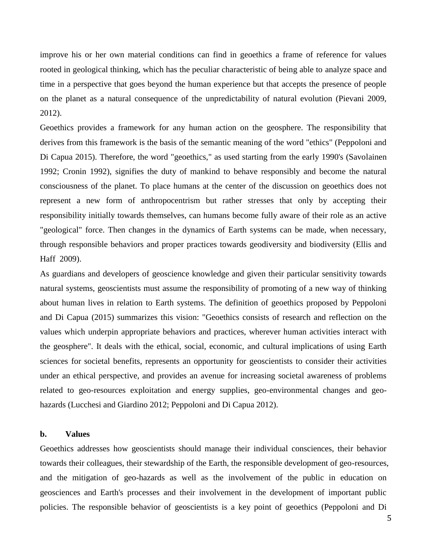improve his or her own material conditions can find in geoethics a frame of reference for values rooted in geological thinking, which has the peculiar characteristic of being able to analyze space and time in a perspective that goes beyond the human experience but that accepts the presence of people on the planet as a natural consequence of the unpredictability of natural evolution (Pievani 2009, 2012).

Geoethics provides a framework for any human action on the geosphere. The responsibility that derives from this framework is the basis of the semantic meaning of the word "ethics" (Peppoloni and Di Capua 2015). Therefore, the word "geoethics," as used starting from the early 1990's (Savolainen 1992; Cronin 1992), signifies the duty of mankind to behave responsibly and become the natural consciousness of the planet. To place humans at the center of the discussion on geoethics does not represent a new form of anthropocentrism but rather stresses that only by accepting their responsibility initially towards themselves, can humans become fully aware of their role as an active "geological" force. Then changes in the dynamics of Earth systems can be made, when necessary, through responsible behaviors and proper practices towards geodiversity and biodiversity (Ellis and Haff 2009).

As guardians and developers of geoscience knowledge and given their particular sensitivity towards natural systems, geoscientists must assume the responsibility of promoting of a new way of thinking about human lives in relation to Earth systems. The definition of geoethics proposed by Peppoloni and Di Capua (2015) summarizes this vision: "Geoethics consists of research and reflection on the values which underpin appropriate behaviors and practices, wherever human activities interact with the geosphere". It deals with the ethical, social, economic, and cultural implications of using Earth sciences for societal benefits, represents an opportunity for geoscientists to consider their activities under an ethical perspective, and provides an avenue for increasing societal awareness of problems related to geo-resources exploitation and energy supplies, geo-environmental changes and geohazards (Lucchesi and Giardino 2012; Peppoloni and Di Capua 2012).

## **b. Values**

Geoethics addresses how geoscientists should manage their individual consciences, their behavior towards their colleagues, their stewardship of the Earth, the responsible development of geo-resources, and the mitigation of geo-hazards as well as the involvement of the public in education on geosciences and Earth's processes and their involvement in the development of important public policies. The responsible behavior of geoscientists is a key point of geoethics (Peppoloni and Di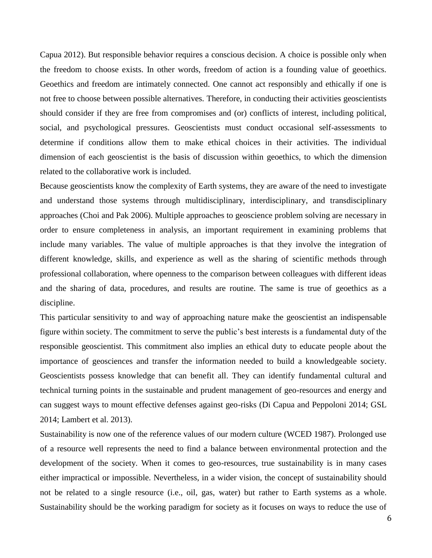Capua 2012). But responsible behavior requires a conscious decision. A choice is possible only when the freedom to choose exists. In other words, freedom of action is a founding value of geoethics. Geoethics and freedom are intimately connected. One cannot act responsibly and ethically if one is not free to choose between possible alternatives. Therefore, in conducting their activities geoscientists should consider if they are free from compromises and (or) conflicts of interest, including political, social, and psychological pressures. Geoscientists must conduct occasional self-assessments to determine if conditions allow them to make ethical choices in their activities. The individual dimension of each geoscientist is the basis of discussion within geoethics, to which the dimension related to the collaborative work is included.

Because geoscientists know the complexity of Earth systems, they are aware of the need to investigate and understand those systems through multidisciplinary, interdisciplinary, and transdisciplinary approaches (Choi and Pak 2006). Multiple approaches to geoscience problem solving are necessary in order to ensure completeness in analysis, an important requirement in examining problems that include many variables. The value of multiple approaches is that they involve the integration of different knowledge, skills, and experience as well as the sharing of scientific methods through professional collaboration, where openness to the comparison between colleagues with different ideas and the sharing of data, procedures, and results are routine. The same is true of geoethics as a discipline.

This particular sensitivity to and way of approaching nature make the geoscientist an indispensable figure within society. The commitment to serve the public's best interests is a fundamental duty of the responsible geoscientist. This commitment also implies an ethical duty to educate people about the importance of geosciences and transfer the information needed to build a knowledgeable society. Geoscientists possess knowledge that can benefit all. They can identify fundamental cultural and technical turning points in the sustainable and prudent management of geo-resources and energy and can suggest ways to mount effective defenses against geo-risks (Di Capua and Peppoloni 2014; GSL 2014; Lambert et al. 2013).

Sustainability is now one of the reference values of our modern culture (WCED 1987). Prolonged use of a resource well represents the need to find a balance between environmental protection and the development of the society. When it comes to geo-resources, true sustainability is in many cases either impractical or impossible. Nevertheless, in a wider vision, the concept of sustainability should not be related to a single resource (i.e., oil, gas, water) but rather to Earth systems as a whole. Sustainability should be the working paradigm for society as it focuses on ways to reduce the use of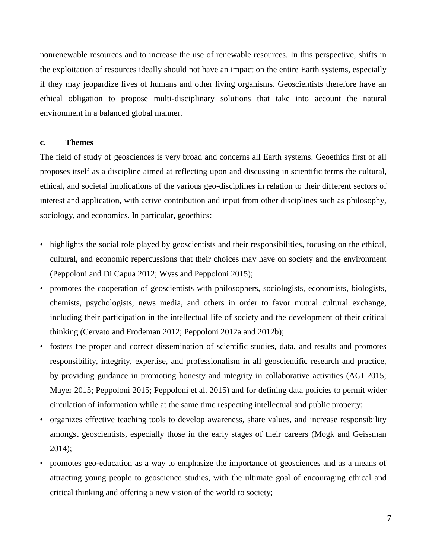nonrenewable resources and to increase the use of renewable resources. In this perspective, shifts in the exploitation of resources ideally should not have an impact on the entire Earth systems, especially if they may jeopardize lives of humans and other living organisms. Geoscientists therefore have an ethical obligation to propose multi-disciplinary solutions that take into account the natural environment in a balanced global manner.

## **c. Themes**

The field of study of geosciences is very broad and concerns all Earth systems. Geoethics first of all proposes itself as a discipline aimed at reflecting upon and discussing in scientific terms the cultural, ethical, and societal implications of the various geo-disciplines in relation to their different sectors of interest and application, with active contribution and input from other disciplines such as philosophy, sociology, and economics. In particular, geoethics:

- highlights the social role played by geoscientists and their responsibilities, focusing on the ethical, cultural, and economic repercussions that their choices may have on society and the environment (Peppoloni and Di Capua 2012; Wyss and Peppoloni 2015);
- promotes the cooperation of geoscientists with philosophers, sociologists, economists, biologists, chemists, psychologists, news media, and others in order to favor mutual cultural exchange, including their participation in the intellectual life of society and the development of their critical thinking (Cervato and Frodeman 2012; Peppoloni 2012a and 2012b);
- fosters the proper and correct dissemination of scientific studies, data, and results and promotes responsibility, integrity, expertise, and professionalism in all geoscientific research and practice, by providing guidance in promoting honesty and integrity in collaborative activities (AGI 2015; Mayer 2015; Peppoloni 2015; Peppoloni et al. 2015) and for defining data policies to permit wider circulation of information while at the same time respecting intellectual and public property;
- organizes effective teaching tools to develop awareness, share values, and increase responsibility amongst geoscientists, especially those in the early stages of their careers (Mogk and Geissman 2014);
- promotes geo-education as a way to emphasize the importance of geosciences and as a means of attracting young people to geoscience studies, with the ultimate goal of encouraging ethical and critical thinking and offering a new vision of the world to society;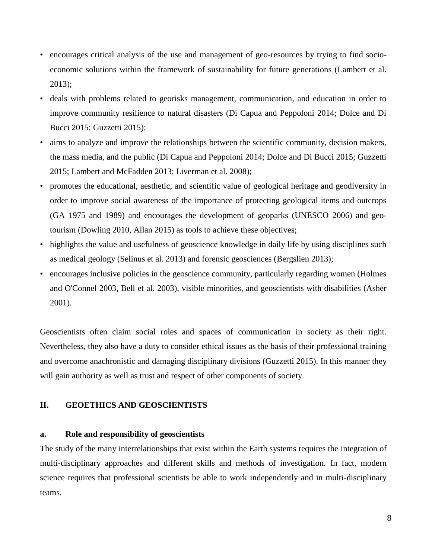- encourages critical analysis of the use and management of geo-resources by trying to find socioeconomic solutions within the framework of sustainability for future generations (Lambert et al. 2013);
- deals with problems related to georisks management, communication, and education in order to improve community resilience to natural disasters (Di Capua and Peppoloni 2014; Dolce and Di Bucci 2015; Guzzetti 2015);
- aims to analyze and improve the relationships between the scientific community, decision makers, the mass media, and the public (Di Capua and Peppoloni 2014; Dolce and Di Bucci 2015; Guzzetti 2015; Lambert and McFadden 2013; Liverman et al. 2008);
- promotes the educational, aesthetic, and scientific value of geological heritage and geodiversity in order to improve social awareness of the importance of protecting geological items and outcrops (GA 1975 and 1989) and encourages the development of geoparks (UNESCO 2006) and geotourism (Dowling 2010, Allan 2015) as tools to achieve these objectives;
- highlights the value and usefulness of geoscience knowledge in daily life by using disciplines such as medical geology (Selinus et al. 2013) and forensic geosciences (Bergslien 2013);
- encourages inclusive policies in the geoscience community, particularly regarding women (Holmes and O'Connel 2003, Bell et al. 2003), visible minorities, and geoscientists with disabilities (Asher 2001).

Geoscientists often claim social roles and spaces of communication in society as their right. Nevertheless, they also have a duty to consider ethical issues as the basis of their professional training and overcome anachronistic and damaging disciplinary divisions (Guzzetti 2015). In this manner they will gain authority as well as trust and respect of other components of society.

## **II. GEOETHICS AND GEOSCIENTISTS**

#### **a. Role and responsibility of geoscientists**

The study of the many interrelationships that exist within the Earth systems requires the integration of multi-disciplinary approaches and different skills and methods of investigation. In fact, modern science requires that professional scientists be able to work independently and in multi-disciplinary teams.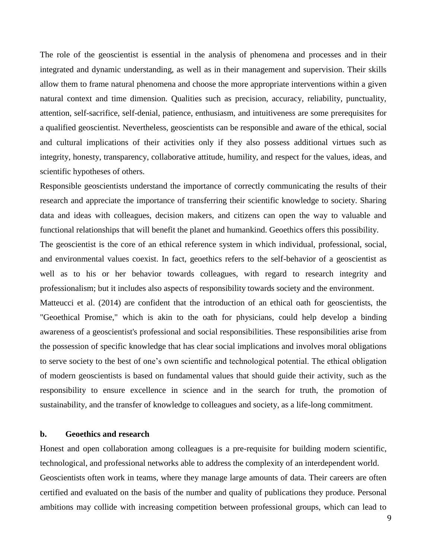The role of the geoscientist is essential in the analysis of phenomena and processes and in their integrated and dynamic understanding, as well as in their management and supervision. Their skills allow them to frame natural phenomena and choose the more appropriate interventions within a given natural context and time dimension. Qualities such as precision, accuracy, reliability, punctuality, attention, self-sacrifice, self-denial, patience, enthusiasm, and intuitiveness are some prerequisites for a qualified geoscientist. Nevertheless, geoscientists can be responsible and aware of the ethical, social and cultural implications of their activities only if they also possess additional virtues such as integrity, honesty, transparency, collaborative attitude, humility, and respect for the values, ideas, and scientific hypotheses of others.

Responsible geoscientists understand the importance of correctly communicating the results of their research and appreciate the importance of transferring their scientific knowledge to society. Sharing data and ideas with colleagues, decision makers, and citizens can open the way to valuable and functional relationships that will benefit the planet and humankind. Geoethics offers this possibility.

The geoscientist is the core of an ethical reference system in which individual, professional, social, and environmental values coexist. In fact, geoethics refers to the self-behavior of a geoscientist as well as to his or her behavior towards colleagues, with regard to research integrity and professionalism; but it includes also aspects of responsibility towards society and the environment.

Matteucci et al. (2014) are confident that the introduction of an ethical oath for geoscientists, the "Geoethical Promise," which is akin to the oath for physicians, could help develop a binding awareness of a geoscientist's professional and social responsibilities. These responsibilities arise from the possession of specific knowledge that has clear social implications and involves moral obligations to serve society to the best of one's own scientific and technological potential. The ethical obligation of modern geoscientists is based on fundamental values that should guide their activity, such as the responsibility to ensure excellence in science and in the search for truth, the promotion of sustainability, and the transfer of knowledge to colleagues and society, as a life-long commitment.

## **b. Geoethics and research**

Honest and open collaboration among colleagues is a pre-requisite for building modern scientific, technological, and professional networks able to address the complexity of an interdependent world. Geoscientists often work in teams, where they manage large amounts of data. Their careers are often certified and evaluated on the basis of the number and quality of publications they produce. Personal ambitions may collide with increasing competition between professional groups, which can lead to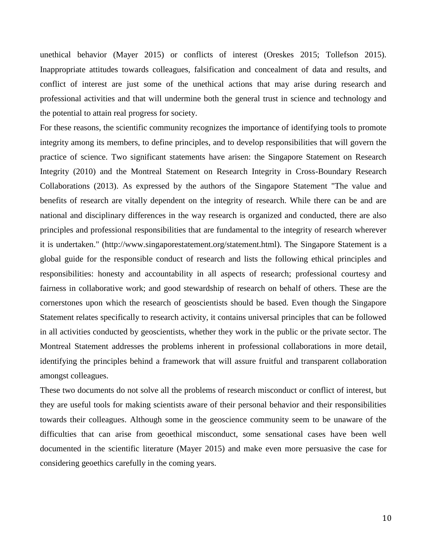unethical behavior (Mayer 2015) or conflicts of interest (Oreskes 2015; Tollefson 2015). Inappropriate attitudes towards colleagues, falsification and concealment of data and results, and conflict of interest are just some of the unethical actions that may arise during research and professional activities and that will undermine both the general trust in science and technology and the potential to attain real progress for society.

For these reasons, the scientific community recognizes the importance of identifying tools to promote integrity among its members, to define principles, and to develop responsibilities that will govern the practice of science. Two significant statements have arisen: the Singapore Statement on Research Integrity (2010) and the Montreal Statement on Research Integrity in Cross-Boundary Research Collaborations (2013). As expressed by the authors of the Singapore Statement "The value and benefits of research are vitally dependent on the integrity of research. While there can be and are national and disciplinary differences in the way research is organized and conducted, there are also principles and professional responsibilities that are fundamental to the integrity of research wherever it is undertaken." [\(http://www.singaporestatement.org/statement.html\)](http://www.singaporestatement.org/statement.html). The Singapore Statement is a global guide for the responsible conduct of research and lists the following ethical principles and responsibilities: honesty and accountability in all aspects of research; professional courtesy and fairness in collaborative work; and good stewardship of research on behalf of others. These are the cornerstones upon which the research of geoscientists should be based. Even though the Singapore Statement relates specifically to research activity, it contains universal principles that can be followed in all activities conducted by geoscientists, whether they work in the public or the private sector. The Montreal Statement addresses the problems inherent in professional collaborations in more detail, identifying the principles behind a framework that will assure fruitful and transparent collaboration amongst colleagues.

These two documents do not solve all the problems of research misconduct or conflict of interest, but they are useful tools for making scientists aware of their personal behavior and their responsibilities towards their colleagues. Although some in the geoscience community seem to be unaware of the difficulties that can arise from geoethical misconduct, some sensational cases have been well documented in the scientific literature (Mayer 2015) and make even more persuasive the case for considering geoethics carefully in the coming years.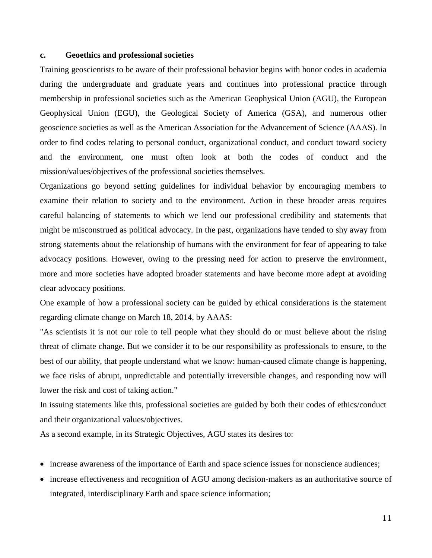#### **c. Geoethics and professional societies**

Training geoscientists to be aware of their professional behavior begins with honor codes in academia during the undergraduate and graduate years and continues into professional practice through membership in professional societies such as the American Geophysical Union (AGU), the European Geophysical Union (EGU), the Geological Society of America (GSA), and numerous other geoscience societies as well as the American Association for the Advancement of Science (AAAS). In order to find codes relating to personal conduct, organizational conduct, and conduct toward society and the environment, one must often look at both the codes of conduct and the mission/values/objectives of the professional societies themselves.

Organizations go beyond setting guidelines for individual behavior by encouraging members to examine their relation to society and to the environment. Action in these broader areas requires careful balancing of statements to which we lend our professional credibility and statements that might be misconstrued as political advocacy. In the past, organizations have tended to shy away from strong statements about the relationship of humans with the environment for fear of appearing to take advocacy positions. However, owing to the pressing need for action to preserve the environment, more and more societies have adopted broader statements and have become more adept at avoiding clear advocacy positions.

One example of how a professional society can be guided by ethical considerations is the statement regarding climate change on March 18, 2014, by AAAS:

"As scientists it is not our role to tell people what they should do or must believe about the rising threat of climate change. But we consider it to be our responsibility as professionals to ensure, to the best of our ability, that people understand what we know: human-caused climate change is happening, we face risks of abrupt, unpredictable and potentially irreversible changes, and responding now will lower the risk and cost of taking action."

In issuing statements like this, professional societies are guided by both their codes of ethics/conduct and their organizational values/objectives.

As a second example, in its Strategic Objectives, AGU states its desires to:

- increase awareness of the importance of Earth and space science issues for nonscience audiences;
- increase effectiveness and recognition of AGU among decision-makers as an authoritative source of integrated, interdisciplinary Earth and space science information;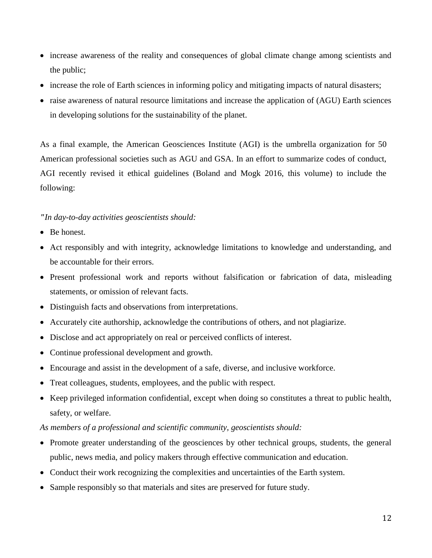- increase awareness of the reality and consequences of global climate change among scientists and the public;
- increase the role of Earth sciences in informing policy and mitigating impacts of natural disasters;
- raise awareness of natural resource limitations and increase the application of (AGU) Earth sciences in developing solutions for the sustainability of the planet.

As a final example, the American Geosciences Institute (AGI) is the umbrella organization for 50 American professional societies such as AGU and GSA. In an effort to summarize codes of conduct, AGI recently revised it ethical guidelines (Boland and Mogk 2016, this volume) to include the following:

## *"In day-to-day activities geoscientists should:*

- Be honest.
- Act responsibly and with integrity, acknowledge limitations to knowledge and understanding, and be accountable for their errors.
- Present professional work and reports without falsification or fabrication of data, misleading statements, or omission of relevant facts.
- Distinguish facts and observations from interpretations.
- Accurately cite authorship, acknowledge the contributions of others, and not plagiarize.
- Disclose and act appropriately on real or perceived conflicts of interest.
- Continue professional development and growth.
- Encourage and assist in the development of a safe, diverse, and inclusive workforce.
- Treat colleagues, students, employees, and the public with respect.
- Keep privileged information confidential, except when doing so constitutes a threat to public health, safety, or welfare.

*As members of a professional and scientific community, geoscientists should:*

- Promote greater understanding of the geosciences by other technical groups, students, the general public, news media, and policy makers through effective communication and education.
- Conduct their work recognizing the complexities and uncertainties of the Earth system.
- Sample responsibly so that materials and sites are preserved for future study.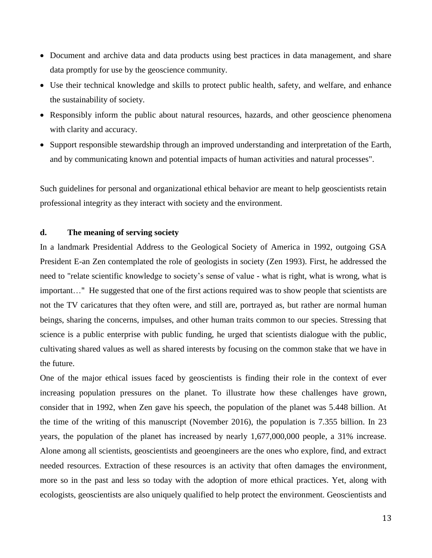- Document and archive data and data products using best practices in data management, and share data promptly for use by the geoscience community.
- Use their technical knowledge and skills to protect public health, safety, and welfare, and enhance the sustainability of society.
- Responsibly inform the public about natural resources, hazards, and other geoscience phenomena with clarity and accuracy.
- Support responsible stewardship through an improved understanding and interpretation of the Earth, and by communicating known and potential impacts of human activities and natural processes".

Such guidelines for personal and organizational ethical behavior are meant to help geoscientists retain professional integrity as they interact with society and the environment.

## **d. The meaning of serving society**

In a landmark Presidential Address to the Geological Society of America in 1992, outgoing GSA President E-an Zen contemplated the role of geologists in society (Zen 1993). First, he addressed the need to "relate scientific knowledge to society's sense of value - what is right, what is wrong, what is important…" He suggested that one of the first actions required was to show people that scientists are not the TV caricatures that they often were, and still are, portrayed as, but rather are normal human beings, sharing the concerns, impulses, and other human traits common to our species. Stressing that science is a public enterprise with public funding, he urged that scientists dialogue with the public, cultivating shared values as well as shared interests by focusing on the common stake that we have in the future.

One of the major ethical issues faced by geoscientists is finding their role in the context of ever increasing population pressures on the planet. To illustrate how these challenges have grown, consider that in 1992, when Zen gave his speech, the population of the planet was 5.448 billion. At the time of the writing of this manuscript (November 2016), the population is 7.355 billion. In 23 years, the population of the planet has increased by nearly 1,677,000,000 people, a 31% increase. Alone among all scientists, geoscientists and geoengineers are the ones who explore, find, and extract needed resources. Extraction of these resources is an activity that often damages the environment, more so in the past and less so today with the adoption of more ethical practices. Yet, along with ecologists, geoscientists are also uniquely qualified to help protect the environment. Geoscientists and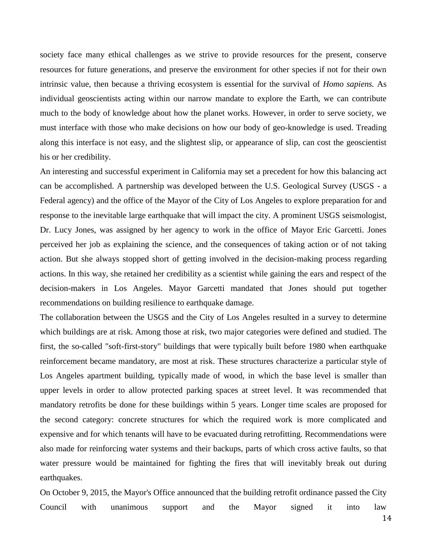society face many ethical challenges as we strive to provide resources for the present, conserve resources for future generations, and preserve the environment for other species if not for their own intrinsic value, then because a thriving ecosystem is essential for the survival of *Homo sapiens.* As individual geoscientists acting within our narrow mandate to explore the Earth, we can contribute much to the body of knowledge about how the planet works. However, in order to serve society, we must interface with those who make decisions on how our body of geo-knowledge is used. Treading along this interface is not easy, and the slightest slip, or appearance of slip, can cost the geoscientist his or her credibility.

An interesting and successful experiment in California may set a precedent for how this balancing act can be accomplished. A partnership was developed between the U.S. Geological Survey (USGS - a Federal agency) and the office of the Mayor of the City of Los Angeles to explore preparation for and response to the inevitable large earthquake that will impact the city. A prominent USGS seismologist, Dr. Lucy Jones, was assigned by her agency to work in the office of Mayor Eric Garcetti. Jones perceived her job as explaining the science, and the consequences of taking action or of not taking action. But she always stopped short of getting involved in the decision-making process regarding actions. In this way, she retained her credibility as a scientist while gaining the ears and respect of the decision-makers in Los Angeles. Mayor Garcetti mandated that Jones should put together recommendations on building resilience to earthquake damage.

The collaboration between the USGS and the City of Los Angeles resulted in a survey to determine which buildings are at risk. Among those at risk, two major categories were defined and studied. The first, the so-called "soft-first-story" buildings that were typically built before 1980 when earthquake reinforcement became mandatory, are most at risk. These structures characterize a particular style of Los Angeles apartment building, typically made of wood, in which the base level is smaller than upper levels in order to allow protected parking spaces at street level. It was recommended that mandatory retrofits be done for these buildings within 5 years. Longer time scales are proposed for the second category: concrete structures for which the required work is more complicated and expensive and for which tenants will have to be evacuated during retrofitting. Recommendations were also made for reinforcing water systems and their backups, parts of which cross active faults, so that water pressure would be maintained for fighting the fires that will inevitably break out during earthquakes.

On October 9, 2015, the Mayor's Office announced that the building retrofit ordinance passed the City Council with unanimous support and the Mayor signed it into law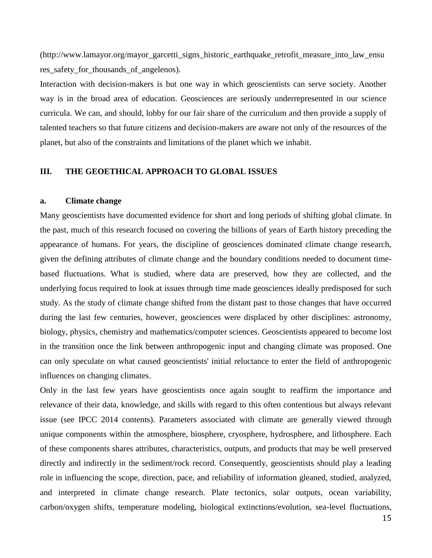[\(http://www.lamayor.org/mayor\\_garcetti\\_signs\\_historic\\_earthquake\\_retrofit\\_measure\\_into\\_law\\_ensu](http://www.lamayor.org/mayor_garcetti_signs_historic_earthquake_retrofit_measure_into_law_ensures_safety_for_thousands_of_angelenos) [res\\_safety\\_for\\_thousands\\_of\\_angelenos\)](http://www.lamayor.org/mayor_garcetti_signs_historic_earthquake_retrofit_measure_into_law_ensures_safety_for_thousands_of_angelenos).

Interaction with decision-makers is but one way in which geoscientists can serve society. Another way is in the broad area of education. Geosciences are seriously underrepresented in our science curricula. We can, and should, lobby for our fair share of the curriculum and then provide a supply of talented teachers so that future citizens and decision-makers are aware not only of the resources of the planet, but also of the constraints and limitations of the planet which we inhabit.

## **III. THE GEOETHICAL APPROACH TO GLOBAL ISSUES**

#### **a. Climate change**

Many geoscientists have documented evidence for short and long periods of shifting global climate. In the past, much of this research focused on covering the billions of years of Earth history preceding the appearance of humans. For years, the discipline of geosciences dominated climate change research, given the defining attributes of climate change and the boundary conditions needed to document timebased fluctuations. What is studied, where data are preserved, how they are collected, and the underlying focus required to look at issues through time made geosciences ideally predisposed for such study. As the study of climate change shifted from the distant past to those changes that have occurred during the last few centuries, however, geosciences were displaced by other disciplines: astronomy, biology, physics, chemistry and mathematics/computer sciences. Geoscientists appeared to become lost in the transition once the link between anthropogenic input and changing climate was proposed. One can only speculate on what caused geoscientists' initial reluctance to enter the field of anthropogenic influences on changing climates.

Only in the last few years have geoscientists once again sought to reaffirm the importance and relevance of their data, knowledge, and skills with regard to this often contentious but always relevant issue (see IPCC 2014 contents). Parameters associated with climate are generally viewed through unique components within the atmosphere, biosphere, cryosphere, hydrosphere, and lithosphere. Each of these components shares attributes, characteristics, outputs, and products that may be well preserved directly and indirectly in the sediment/rock record. Consequently, geoscientists should play a leading role in influencing the scope, direction, pace, and reliability of information gleaned, studied, analyzed, and interpreted in climate change research. Plate tectonics, solar outputs, ocean variability, carbon/oxygen shifts, temperature modeling, biological extinctions/evolution, sea-level fluctuations,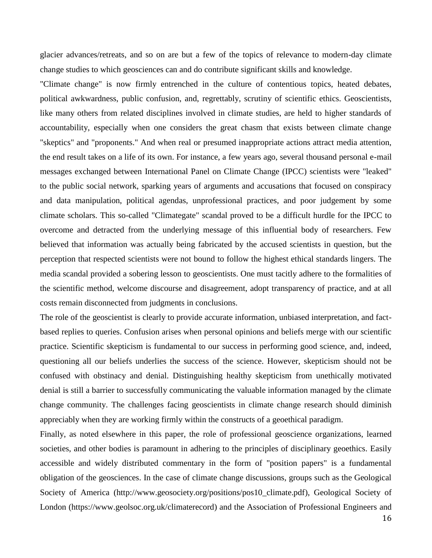glacier advances/retreats, and so on are but a few of the topics of relevance to modern-day climate change studies to which geosciences can and do contribute significant skills and knowledge.

"Climate change" is now firmly entrenched in the culture of contentious topics, heated debates, political awkwardness, public confusion, and, regrettably, scrutiny of scientific ethics. Geoscientists, like many others from related disciplines involved in climate studies, are held to higher standards of accountability, especially when one considers the great chasm that exists between climate change "skeptics" and "proponents." And when real or presumed inappropriate actions attract media attention, the end result takes on a life of its own. For instance, a few years ago, several thousand personal e-mail messages exchanged between International Panel on Climate Change (IPCC) scientists were "leaked" to the public social network, sparking years of arguments and accusations that focused on conspiracy and data manipulation, political agendas, unprofessional practices, and poor judgement by some climate scholars. This so-called "Climategate" scandal proved to be a difficult hurdle for the IPCC to overcome and detracted from the underlying message of this influential body of researchers. Few believed that information was actually being fabricated by the accused scientists in question, but the perception that respected scientists were not bound to follow the highest ethical standards lingers. The media scandal provided a sobering lesson to geoscientists. One must tacitly adhere to the formalities of the scientific method, welcome discourse and disagreement, adopt transparency of practice, and at all costs remain disconnected from judgments in conclusions.

The role of the geoscientist is clearly to provide accurate information, unbiased interpretation, and factbased replies to queries. Confusion arises when personal opinions and beliefs merge with our scientific practice. Scientific skepticism is fundamental to our success in performing good science, and, indeed, questioning all our beliefs underlies the success of the science. However, skepticism should not be confused with obstinacy and denial. Distinguishing healthy skepticism from unethically motivated denial is still a barrier to successfully communicating the valuable information managed by the climate change community. The challenges facing geoscientists in climate change research should diminish appreciably when they are working firmly within the constructs of a geoethical paradigm.

Finally, as noted elsewhere in this paper, the role of professional geoscience organizations, learned societies, and other bodies is paramount in adhering to the principles of disciplinary geoethics. Easily accessible and widely distributed commentary in the form of "position papers" is a fundamental obligation of the geosciences. In the case of climate change discussions, groups such as the Geological Society of America (http://www.geosociety.org/positions/pos10 climate.pdf), Geological Society of London (https://www.geolsoc.org.uk/climaterecord) and the Association of Professional Engineers and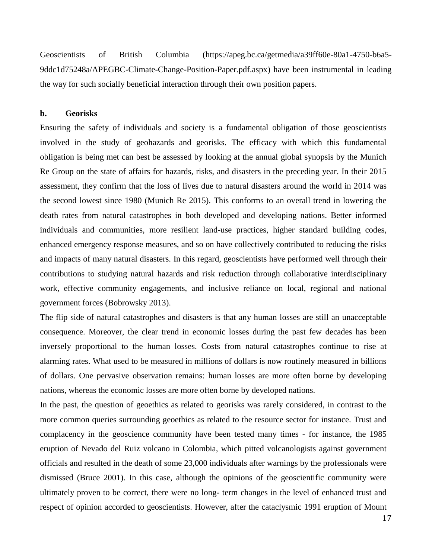Geoscientists of British Columbia (https://apeg.bc.ca/getmedia/a39ff60e-80a1-4750-b6a5- 9ddc1d75248a/APEGBC-Climate-Change-Position-Paper.pdf.aspx) have been instrumental in leading the way for such socially beneficial interaction through their own position papers.

## **b. Georisks**

Ensuring the safety of individuals and society is a fundamental obligation of those geoscientists involved in the study of geohazards and georisks. The efficacy with which this fundamental obligation is being met can best be assessed by looking at the annual global synopsis by the Munich Re Group on the state of affairs for hazards, risks, and disasters in the preceding year. In their 2015 assessment, they confirm that the loss of lives due to natural disasters around the world in 2014 was the second lowest since 1980 (Munich Re 2015). This conforms to an overall trend in lowering the death rates from natural catastrophes in both developed and developing nations. Better informed individuals and communities, more resilient land-use practices, higher standard building codes, enhanced emergency response measures, and so on have collectively contributed to reducing the risks and impacts of many natural disasters. In this regard, geoscientists have performed well through their contributions to studying natural hazards and risk reduction through collaborative interdisciplinary work, effective community engagements, and inclusive reliance on local, regional and national government forces (Bobrowsky 2013).

The flip side of natural catastrophes and disasters is that any human losses are still an unacceptable consequence. Moreover, the clear trend in economic losses during the past few decades has been inversely proportional to the human losses. Costs from natural catastrophes continue to rise at alarming rates. What used to be measured in millions of dollars is now routinely measured in billions of dollars. One pervasive observation remains: human losses are more often borne by developing nations, whereas the economic losses are more often borne by developed nations.

In the past, the question of geoethics as related to georisks was rarely considered, in contrast to the more common queries surrounding geoethics as related to the resource sector for instance. Trust and complacency in the geoscience community have been tested many times - for instance, the 1985 eruption of Nevado del Ruiz volcano in Colombia, which pitted volcanologists against government officials and resulted in the death of some 23,000 individuals after warnings by the professionals were dismissed (Bruce 2001). In this case, although the opinions of the geoscientific community were ultimately proven to be correct, there were no long- term changes in the level of enhanced trust and respect of opinion accorded to geoscientists. However, after the cataclysmic 1991 eruption of Mount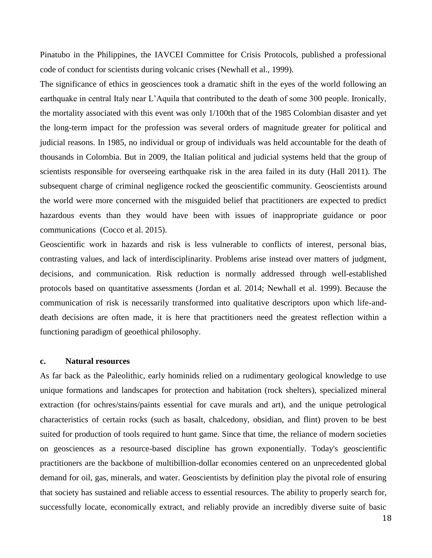Pinatubo in the Philippines, the IAVCEI Committee for Crisis Protocols, published a professional code of conduct for scientists during volcanic crises (Newhall et al., 1999).

The significance of ethics in geosciences took a dramatic shift in the eyes of the world following an earthquake in central Italy near L'Aquila that contributed to the death of some 300 people. Ironically, the mortality associated with this event was only 1/100th that of the 1985 Colombian disaster and yet the long-term impact for the profession was several orders of magnitude greater for political and judicial reasons. In 1985, no individual or group of individuals was held accountable for the death of thousands in Colombia. But in 2009, the Italian political and judicial systems held that the group of scientists responsible for overseeing earthquake risk in the area failed in its duty (Hall 2011). The subsequent charge of criminal negligence rocked the geoscientific community. Geoscientists around the world were more concerned with the misguided belief that practitioners are expected to predict hazardous events than they would have been with issues of inappropriate guidance or poor communications (Cocco et al. 2015).

Geoscientific work in hazards and risk is less vulnerable to conflicts of interest, personal bias, contrasting values, and lack of interdisciplinarity. Problems arise instead over matters of judgment, decisions, and communication. Risk reduction is normally addressed through well-established protocols based on quantitative assessments (Jordan et al. 2014; Newhall et al. 1999). Because the communication of risk is necessarily transformed into qualitative descriptors upon which life-anddeath decisions are often made, it is here that practitioners need the greatest reflection within a functioning paradigm of geoethical philosophy.

#### **c. Natural resources**

As far back as the Paleolithic, early hominids relied on a rudimentary geological knowledge to use unique formations and landscapes for protection and habitation (rock shelters), specialized mineral extraction (for ochres/stains/paints essential for cave murals and art), and the unique petrological characteristics of certain rocks (such as basalt, chalcedony, obsidian, and flint) proven to be best suited for production of tools required to hunt game. Since that time, the reliance of modern societies on geosciences as a resource-based discipline has grown exponentially. Today's geoscientific practitioners are the backbone of multibillion-dollar economies centered on an unprecedented global demand for oil, gas, minerals, and water. Geoscientists by definition play the pivotal role of ensuring that society has sustained and reliable access to essential resources. The ability to properly search for, successfully locate, economically extract, and reliably provide an incredibly diverse suite of basic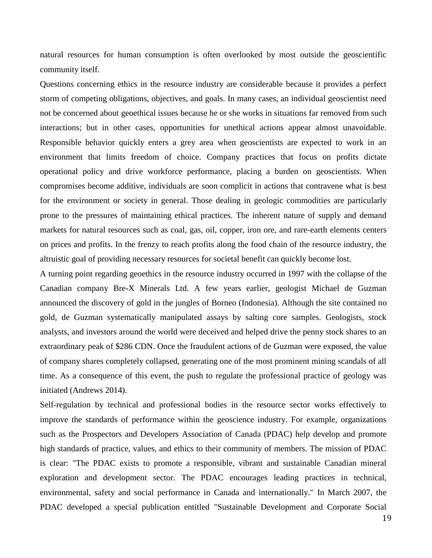natural resources for human consumption is often overlooked by most outside the geoscientific community itself.

Questions concerning ethics in the resource industry are considerable because it provides a perfect storm of competing obligations, objectives, and goals. In many cases, an individual geoscientist need not be concerned about geoethical issues because he or she works in situations far removed from such interactions; but in other cases, opportunities for unethical actions appear almost unavoidable. Responsible behavior quickly enters a grey area when geoscientists are expected to work in an environment that limits freedom of choice. Company practices that focus on profits dictate operational policy and drive workforce performance, placing a burden on geoscientists. When compromises become additive, individuals are soon complicit in actions that contravene what is best for the environment or society in general. Those dealing in geologic commodities are particularly prone to the pressures of maintaining ethical practices. The inherent nature of supply and demand markets for natural resources such as coal, gas, oil, copper, iron ore, and rare-earth elements centers on prices and profits. In the frenzy to reach profits along the food chain of the resource industry, the altruistic goal of providing necessary resources for societal benefit can quickly become lost.

A turning point regarding geoethics in the resource industry occurred in 1997 with the collapse of the Canadian company Bre-X Minerals Ltd. A few years earlier, geologist Michael de Guzman announced the discovery of gold in the jungles of Borneo (Indonesia). Although the site contained no gold, de Guzman systematically manipulated assays by salting core samples. Geologists, stock analysts, and investors around the world were deceived and helped drive the penny stock shares to an extraordinary peak of \$286 CDN. Once the fraudulent actions of de Guzman were exposed, the value of company shares completely collapsed, generating one of the most prominent mining scandals of all time. As a consequence of this event, the push to regulate the professional practice of geology was initiated (Andrews 2014).

Self-regulation by technical and professional bodies in the resource sector works effectively to improve the standards of performance within the geoscience industry. For example, organizations such as the Prospectors and Developers Association of Canada (PDAC) help develop and promote high standards of practice, values, and ethics to their community of members. The mission of PDAC is clear: "The PDAC exists to promote a responsible, vibrant and sustainable Canadian mineral exploration and development sector. The PDAC encourages leading practices in technical, environmental, safety and social performance in Canada and internationally." In March 2007, the PDAC developed a special publication entitled "Sustainable Development and Corporate Social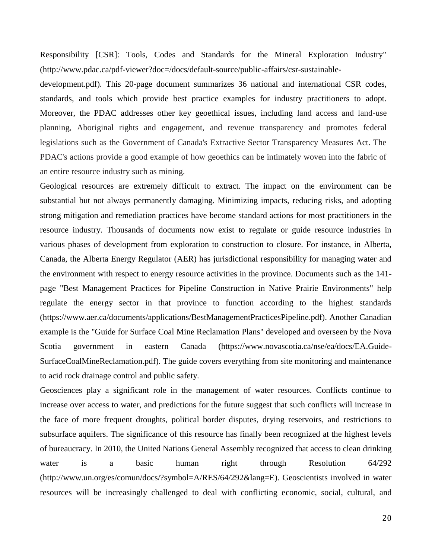Responsibility [CSR]: Tools, Codes and Standards for the Mineral Exploration Industry" (http://www.pdac.ca/pdf-viewer?doc=/docs/default-source/public-affairs/csr-sustainable-

development.pdf). This 20-page document summarizes 36 national and international CSR codes, standards, and tools which provide best practice examples for industry practitioners to adopt. Moreover, the PDAC addresses other key geoethical issues, including land access and land-use planning, Aboriginal rights and engagement, and revenue transparency and promotes federal legislations such as the Government of Canada's Extractive Sector Transparency Measures Act. The PDAC's actions provide a good example of how geoethics can be intimately woven into the fabric of an entire resource industry such as mining.

Geological resources are extremely difficult to extract. The impact on the environment can be substantial but not always permanently damaging. Minimizing impacts, reducing risks, and adopting strong mitigation and remediation practices have become standard actions for most practitioners in the resource industry. Thousands of documents now exist to regulate or guide resource industries in various phases of development from exploration to construction to closure. For instance, in Alberta, Canada, the Alberta Energy Regulator (AER) has jurisdictional responsibility for managing water and the environment with respect to energy resource activities in the province. Documents such as the 141 page "Best Management Practices for Pipeline Construction in Native Prairie Environments" help regulate the energy sector in that province to function according to the highest standards (https://www.aer.ca/documents/applications/BestManagementPracticesPipeline.pdf). Another Canadian example is the "Guide for Surface Coal Mine Reclamation Plans" developed and overseen by the Nova Scotia government in eastern Canada (https://www.novascotia.ca/nse/ea/docs/EA.Guide-SurfaceCoalMineReclamation.pdf). The guide covers everything from site monitoring and maintenance to acid rock drainage control and public safety.

Geosciences play a significant role in the management of water resources. Conflicts continue to increase over access to water, and predictions for the future suggest that such conflicts will increase in the face of more frequent droughts, political border disputes, drying reservoirs, and restrictions to subsurface aquifers. The significance of this resource has finally been recognized at the highest levels of bureaucracy. In 2010, the United Nations General Assembly recognized that access to clean drinking water is a basic human right through Resolution 64/292 (http://www.un.org/es/comun/docs/?symbol=A/RES/64/292&lang=E). Geoscientists involved in water resources will be increasingly challenged to deal with conflicting economic, social, cultural, and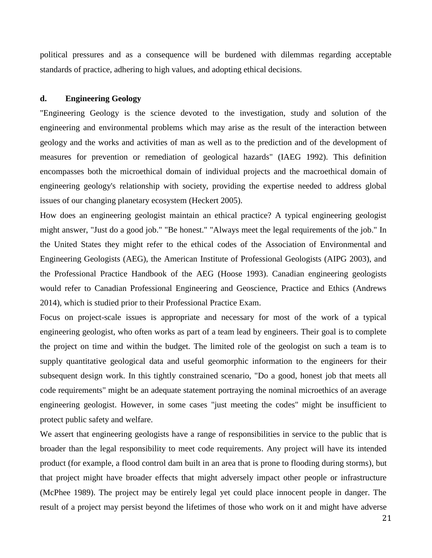political pressures and as a consequence will be burdened with dilemmas regarding acceptable standards of practice, adhering to high values, and adopting ethical decisions.

## **d. Engineering Geology**

"Engineering Geology is the science devoted to the investigation, study and solution of the engineering and environmental problems which may arise as the result of the interaction between geology and the works and activities of man as well as to the prediction and of the development of measures for prevention or remediation of geological hazards" (IAEG 1992). This definition encompasses both the microethical domain of individual projects and the macroethical domain of engineering geology's relationship with society, providing the expertise needed to address global issues of our changing planetary ecosystem (Heckert 2005).

How does an engineering geologist maintain an ethical practice? A typical engineering geologist might answer, "Just do a good job." "Be honest." "Always meet the legal requirements of the job." In the United States they might refer to the ethical codes of the Association of Environmental and Engineering Geologists (AEG), the American Institute of Professional Geologists (AIPG 2003), and the Professional Practice Handbook of the AEG (Hoose 1993). Canadian engineering geologists would refer to Canadian Professional Engineering and Geoscience, Practice and Ethics (Andrews 2014), which is studied prior to their Professional Practice Exam.

Focus on project-scale issues is appropriate and necessary for most of the work of a typical engineering geologist, who often works as part of a team lead by engineers. Their goal is to complete the project on time and within the budget. The limited role of the geologist on such a team is to supply quantitative geological data and useful geomorphic information to the engineers for their subsequent design work. In this tightly constrained scenario, "Do a good, honest job that meets all code requirements" might be an adequate statement portraying the nominal microethics of an average engineering geologist. However, in some cases "just meeting the codes" might be insufficient to protect public safety and welfare.

We assert that engineering geologists have a range of responsibilities in service to the public that is broader than the legal responsibility to meet code requirements. Any project will have its intended product (for example, a flood control dam built in an area that is prone to flooding during storms), but that project might have broader effects that might adversely impact other people or infrastructure (McPhee 1989). The project may be entirely legal yet could place innocent people in danger. The result of a project may persist beyond the lifetimes of those who work on it and might have adverse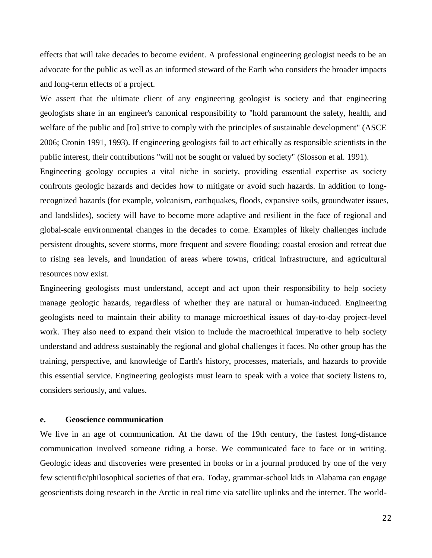effects that will take decades to become evident. A professional engineering geologist needs to be an advocate for the public as well as an informed steward of the Earth who considers the broader impacts and long-term effects of a project.

We assert that the ultimate client of any engineering geologist is society and that engineering geologists share in an engineer's canonical responsibility to "hold paramount the safety, health, and welfare of the public and [to] strive to comply with the principles of sustainable development" (ASCE 2006; Cronin 1991, 1993). If engineering geologists fail to act ethically as responsible scientists in the public interest, their contributions "will not be sought or valued by society" (Slosson et al. 1991).

Engineering geology occupies a vital niche in society, providing essential expertise as society confronts geologic hazards and decides how to mitigate or avoid such hazards. In addition to longrecognized hazards (for example, volcanism, earthquakes, floods, expansive soils, groundwater issues, and landslides), society will have to become more adaptive and resilient in the face of regional and global-scale environmental changes in the decades to come. Examples of likely challenges include persistent droughts, severe storms, more frequent and severe flooding; coastal erosion and retreat due to rising sea levels, and inundation of areas where towns, critical infrastructure, and agricultural resources now exist.

Engineering geologists must understand, accept and act upon their responsibility to help society manage geologic hazards, regardless of whether they are natural or human-induced. Engineering geologists need to maintain their ability to manage microethical issues of day-to-day project-level work. They also need to expand their vision to include the macroethical imperative to help society understand and address sustainably the regional and global challenges it faces. No other group has the training, perspective, and knowledge of Earth's history, processes, materials, and hazards to provide this essential service. Engineering geologists must learn to speak with a voice that society listens to, considers seriously, and values.

## **e. Geoscience communication**

We live in an age of communication. At the dawn of the 19th century, the fastest long-distance communication involved someone riding a horse. We communicated face to face or in writing. Geologic ideas and discoveries were presented in books or in a journal produced by one of the very few scientific/philosophical societies of that era. Today, grammar-school kids in Alabama can engage geoscientists doing research in the Arctic in real time via satellite uplinks and the internet. The world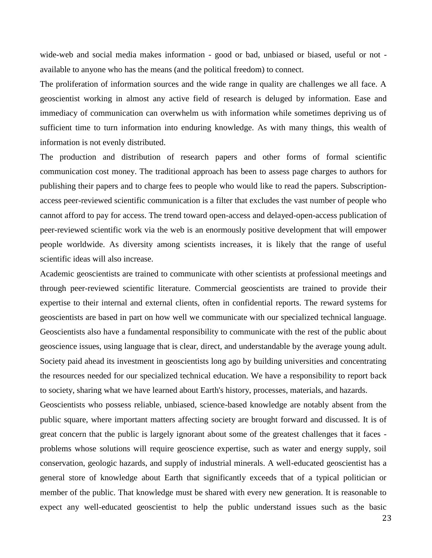wide-web and social media makes information - good or bad, unbiased or biased, useful or not available to anyone who has the means (and the political freedom) to connect.

The proliferation of information sources and the wide range in quality are challenges we all face. A geoscientist working in almost any active field of research is deluged by information. Ease and immediacy of communication can overwhelm us with information while sometimes depriving us of sufficient time to turn information into enduring knowledge. As with many things, this wealth of information is not evenly distributed.

The production and distribution of research papers and other forms of formal scientific communication cost money. The traditional approach has been to assess page charges to authors for publishing their papers and to charge fees to people who would like to read the papers. Subscriptionaccess peer-reviewed scientific communication is a filter that excludes the vast number of people who cannot afford to pay for access. The trend toward open-access and delayed-open-access publication of peer-reviewed scientific work via the web is an enormously positive development that will empower people worldwide. As diversity among scientists increases, it is likely that the range of useful scientific ideas will also increase.

Academic geoscientists are trained to communicate with other scientists at professional meetings and through peer-reviewed scientific literature. Commercial geoscientists are trained to provide their expertise to their internal and external clients, often in confidential reports. The reward systems for geoscientists are based in part on how well we communicate with our specialized technical language. Geoscientists also have a fundamental responsibility to communicate with the rest of the public about geoscience issues, using language that is clear, direct, and understandable by the average young adult. Society paid ahead its investment in geoscientists long ago by building universities and concentrating the resources needed for our specialized technical education. We have a responsibility to report back to society, sharing what we have learned about Earth's history, processes, materials, and hazards.

Geoscientists who possess reliable, unbiased, science-based knowledge are notably absent from the public square, where important matters affecting society are brought forward and discussed. It is of great concern that the public is largely ignorant about some of the greatest challenges that it faces problems whose solutions will require geoscience expertise, such as water and energy supply, soil conservation, geologic hazards, and supply of industrial minerals. A well-educated geoscientist has a general store of knowledge about Earth that significantly exceeds that of a typical politician or member of the public. That knowledge must be shared with every new generation. It is reasonable to expect any well-educated geoscientist to help the public understand issues such as the basic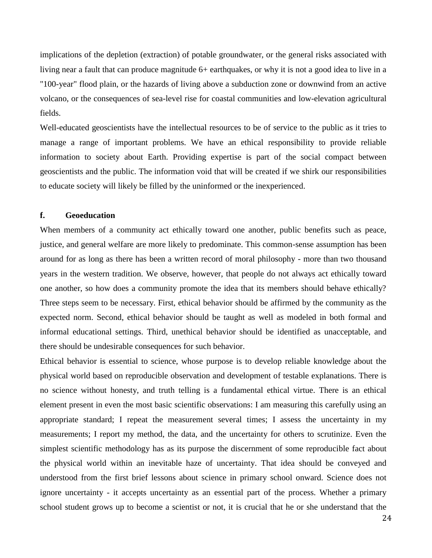implications of the depletion (extraction) of potable groundwater, or the general risks associated with living near a fault that can produce magnitude 6+ earthquakes, or why it is not a good idea to live in a "100-year" flood plain, or the hazards of living above a subduction zone or downwind from an active volcano, or the consequences of sea-level rise for coastal communities and low-elevation agricultural fields.

Well-educated geoscientists have the intellectual resources to be of service to the public as it tries to manage a range of important problems. We have an ethical responsibility to provide reliable information to society about Earth. Providing expertise is part of the social compact between geoscientists and the public. The information void that will be created if we shirk our responsibilities to educate society will likely be filled by the uninformed or the inexperienced.

## **f. Geoeducation**

When members of a community act ethically toward one another, public benefits such as peace, justice, and general welfare are more likely to predominate. This common-sense assumption has been around for as long as there has been a written record of moral philosophy - more than two thousand years in the western tradition. We observe, however, that people do not always act ethically toward one another, so how does a community promote the idea that its members should behave ethically? Three steps seem to be necessary. First, ethical behavior should be affirmed by the community as the expected norm. Second, ethical behavior should be taught as well as modeled in both formal and informal educational settings. Third, unethical behavior should be identified as unacceptable, and there should be undesirable consequences for such behavior.

Ethical behavior is essential to science, whose purpose is to develop reliable knowledge about the physical world based on reproducible observation and development of testable explanations. There is no science without honesty, and truth telling is a fundamental ethical virtue. There is an ethical element present in even the most basic scientific observations: I am measuring this carefully using an appropriate standard; I repeat the measurement several times; I assess the uncertainty in my measurements; I report my method, the data, and the uncertainty for others to scrutinize. Even the simplest scientific methodology has as its purpose the discernment of some reproducible fact about the physical world within an inevitable haze of uncertainty. That idea should be conveyed and understood from the first brief lessons about science in primary school onward. Science does not ignore uncertainty - it accepts uncertainty as an essential part of the process. Whether a primary school student grows up to become a scientist or not, it is crucial that he or she understand that the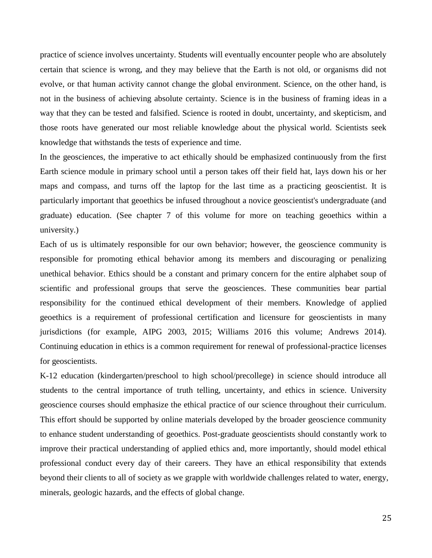practice of science involves uncertainty. Students will eventually encounter people who are absolutely certain that science is wrong, and they may believe that the Earth is not old, or organisms did not evolve, or that human activity cannot change the global environment. Science, on the other hand, is not in the business of achieving absolute certainty. Science is in the business of framing ideas in a way that they can be tested and falsified. Science is rooted in doubt, uncertainty, and skepticism, and those roots have generated our most reliable knowledge about the physical world. Scientists seek knowledge that withstands the tests of experience and time.

In the geosciences, the imperative to act ethically should be emphasized continuously from the first Earth science module in primary school until a person takes off their field hat, lays down his or her maps and compass, and turns off the laptop for the last time as a practicing geoscientist. It is particularly important that geoethics be infused throughout a novice geoscientist's undergraduate (and graduate) education. (See chapter 7 of this volume for more on teaching geoethics within a university.)

Each of us is ultimately responsible for our own behavior; however, the geoscience community is responsible for promoting ethical behavior among its members and discouraging or penalizing unethical behavior. Ethics should be a constant and primary concern for the entire alphabet soup of scientific and professional groups that serve the geosciences. These communities bear partial responsibility for the continued ethical development of their members. Knowledge of applied geoethics is a requirement of professional certification and licensure for geoscientists in many jurisdictions (for example, AIPG 2003, 2015; Williams 2016 this volume; Andrews 2014). Continuing education in ethics is a common requirement for renewal of professional-practice licenses for geoscientists.

K-12 education (kindergarten/preschool to high school/precollege) in science should introduce all students to the central importance of truth telling, uncertainty, and ethics in science. University geoscience courses should emphasize the ethical practice of our science throughout their curriculum. This effort should be supported by online materials developed by the broader geoscience community to enhance student understanding of geoethics. Post-graduate geoscientists should constantly work to improve their practical understanding of applied ethics and, more importantly, should model ethical professional conduct every day of their careers. They have an ethical responsibility that extends beyond their clients to all of society as we grapple with worldwide challenges related to water, energy, minerals, geologic hazards, and the effects of global change.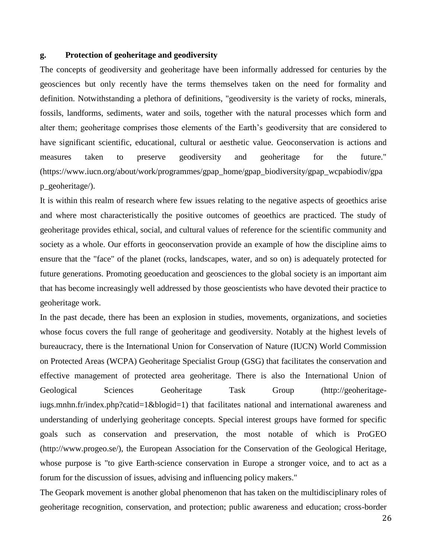#### **g. Protection of geoheritage and geodiversity**

The concepts of geodiversity and geoheritage have been informally addressed for centuries by the geosciences but only recently have the terms themselves taken on the need for formality and definition. Notwithstanding a plethora of definitions, "geodiversity is the variety of rocks, minerals, fossils, landforms, sediments, water and soils, together with the natural processes which form and alter them; geoheritage comprises those elements of the Earth's geodiversity that are considered to have significant scientific, educational, cultural or aesthetic value. Geoconservation is actions and measures taken to preserve geodiversity and geoheritage for the future." (https://www.iucn.org/about/work/programmes/gpap\_home/gpap\_biodiversity/gpap\_wcpabiodiv/gpa p\_geoheritage/).

It is within this realm of research where few issues relating to the negative aspects of geoethics arise and where most characteristically the positive outcomes of geoethics are practiced. The study of geoheritage provides ethical, social, and cultural values of reference for the scientific community and society as a whole. Our efforts in geoconservation provide an example of how the discipline aims to ensure that the "face" of the planet (rocks, landscapes, water, and so on) is adequately protected for future generations. Promoting geoeducation and geosciences to the global society is an important aim that has become increasingly well addressed by those geoscientists who have devoted their practice to geoheritage work.

In the past decade, there has been an explosion in studies, movements, organizations, and societies whose focus covers the full range of geoheritage and geodiversity. Notably at the highest levels of bureaucracy, there is the International Union for Conservation of Nature (IUCN) World Commission on Protected Areas (WCPA) Geoheritage Specialist Group (GSG) that facilitates the conservation and effective management of protected area geoheritage. There is also the International Union of Geological Sciences Geoheritage Task Group (http://geoheritageiugs.mnhn.fr/index.php?catid=1&blogid=1) that facilitates national and international awareness and understanding of underlying geoheritage concepts. Special interest groups have formed for specific goals such as conservation and preservation, the most notable of which is ProGEO (http://www.progeo.se/), the European Association for the Conservation of the Geological Heritage, whose purpose is "to give Earth-science conservation in Europe a stronger voice, and to act as a forum for the discussion of issues, advising and influencing policy makers."

The Geopark movement is another global phenomenon that has taken on the multidisciplinary roles of geoheritage recognition, conservation, and protection; public awareness and education; cross-border

26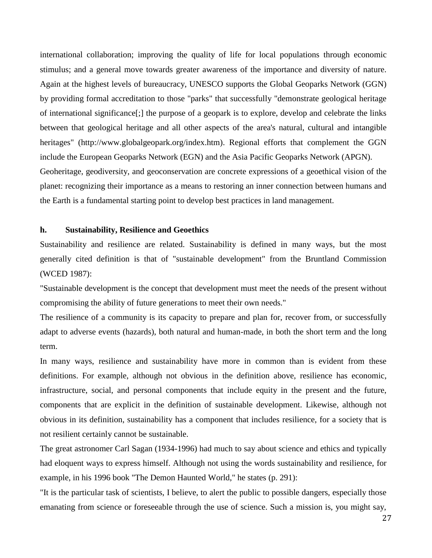international collaboration; improving the quality of life for local populations through economic stimulus; and a general move towards greater awareness of the importance and diversity of nature. Again at the highest levels of bureaucracy, UNESCO supports the Global Geoparks Network (GGN) by providing formal accreditation to those "parks" that successfully "demonstrate geological heritage of international significance[;] the purpose of a geopark is to explore, develop and celebrate the links between that geological heritage and all other aspects of the area's natural, cultural and intangible heritages" (http://www.globalgeopark.org/index.htm). Regional efforts that complement the GGN include the European Geoparks Network (EGN) and the Asia Pacific Geoparks Network (APGN). Geoheritage, geodiversity, and geoconservation are concrete expressions of a geoethical vision of the planet: recognizing their importance as a means to restoring an inner connection between humans and the Earth is a fundamental starting point to develop best practices in land management.

## **h. Sustainability, Resilience and Geoethics**

Sustainability and resilience are related. Sustainability is defined in many ways, but the most generally cited definition is that of "sustainable development" from the Bruntland Commission (WCED 1987):

"Sustainable development is the concept that development must meet the needs of the present without compromising the ability of future generations to meet their own needs."

The resilience of a community is its capacity to prepare and plan for, recover from, or successfully adapt to adverse events (hazards), both natural and human-made, in both the short term and the long term.

In many ways, resilience and sustainability have more in common than is evident from these definitions. For example, although not obvious in the definition above, resilience has economic, infrastructure, social, and personal components that include equity in the present and the future, components that are explicit in the definition of sustainable development. Likewise, although not obvious in its definition, sustainability has a component that includes resilience, for a society that is not resilient certainly cannot be sustainable.

The great astronomer Carl Sagan (1934-1996) had much to say about science and ethics and typically had eloquent ways to express himself. Although not using the words sustainability and resilience, for example, in his 1996 book "The Demon Haunted World," he states (p. 291):

"It is the particular task of scientists, I believe, to alert the public to possible dangers, especially those emanating from science or foreseeable through the use of science. Such a mission is, you might say,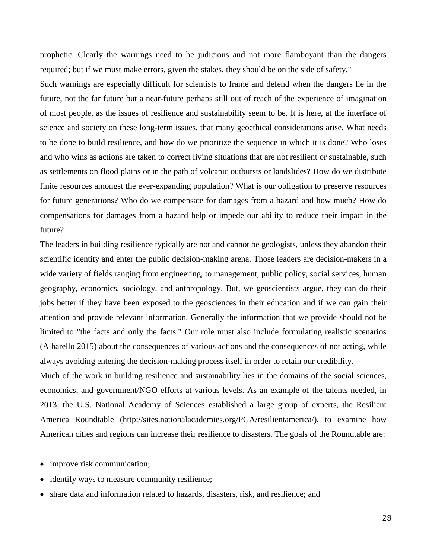prophetic. Clearly the warnings need to be judicious and not more flamboyant than the dangers required; but if we must make errors, given the stakes, they should be on the side of safety."

Such warnings are especially difficult for scientists to frame and defend when the dangers lie in the future, not the far future but a near-future perhaps still out of reach of the experience of imagination of most people, as the issues of resilience and sustainability seem to be. It is here, at the interface of science and society on these long-term issues, that many geoethical considerations arise. What needs to be done to build resilience, and how do we prioritize the sequence in which it is done? Who loses and who wins as actions are taken to correct living situations that are not resilient or sustainable, such as settlements on flood plains or in the path of volcanic outbursts or landslides? How do we distribute finite resources amongst the ever-expanding population? What is our obligation to preserve resources for future generations? Who do we compensate for damages from a hazard and how much? How do compensations for damages from a hazard help or impede our ability to reduce their impact in the future?

The leaders in building resilience typically are not and cannot be geologists, unless they abandon their scientific identity and enter the public decision-making arena. Those leaders are decision-makers in a wide variety of fields ranging from engineering, to management, public policy, social services, human geography, economics, sociology, and anthropology. But, we geoscientists argue, they can do their jobs better if they have been exposed to the geosciences in their education and if we can gain their attention and provide relevant information. Generally the information that we provide should not be limited to "the facts and only the facts." Our role must also include formulating realistic scenarios (Albarello 2015) about the consequences of various actions and the consequences of not acting, while always avoiding entering the decision-making process itself in order to retain our credibility.

Much of the work in building resilience and sustainability lies in the domains of the social sciences, economics, and government/NGO efforts at various levels. As an example of the talents needed, in 2013, the U.S. National Academy of Sciences established a large group of experts, the Resilient America Roundtable (http://sites.nationalacademies.org/PGA/resilientamerica/), to examine how American cities and regions can increase their resilience to disasters. The goals of the Roundtable are:

- improve risk communication;
- identify ways to measure community resilience;
- share data and information related to hazards, disasters, risk, and resilience; and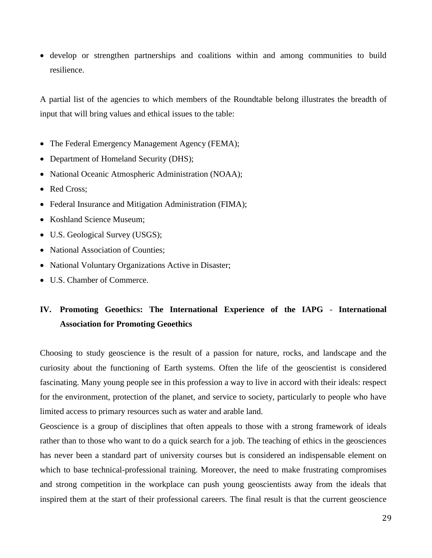develop or strengthen partnerships and coalitions within and among communities to build resilience.

A partial list of the agencies to which members of the Roundtable belong illustrates the breadth of input that will bring values and ethical issues to the table:

- The Federal Emergency Management Agency (FEMA);
- Department of Homeland Security (DHS);
- National Oceanic Atmospheric Administration (NOAA);
- Red Cross;
- Federal Insurance and Mitigation Administration (FIMA);
- Koshland Science Museum;
- U.S. Geological Survey (USGS);
- National Association of Counties;
- National Voluntary Organizations Active in Disaster;
- U.S. Chamber of Commerce.

# **IV. Promoting Geoethics: The International Experience of the IAPG** - **International Association for Promoting Geoethics**

Choosing to study geoscience is the result of a passion for nature, rocks, and landscape and the curiosity about the functioning of Earth systems. Often the life of the geoscientist is considered fascinating. Many young people see in this profession a way to live in accord with their ideals: respect for the environment, protection of the planet, and service to society, particularly to people who have limited access to primary resources such as water and arable land.

Geoscience is a group of disciplines that often appeals to those with a strong framework of ideals rather than to those who want to do a quick search for a job. The teaching of ethics in the geosciences has never been a standard part of university courses but is considered an indispensable element on which to base technical-professional training. Moreover, the need to make frustrating compromises and strong competition in the workplace can push young geoscientists away from the ideals that inspired them at the start of their professional careers. The final result is that the current geoscience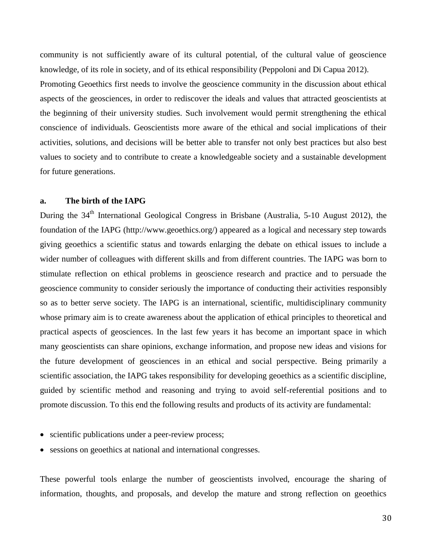community is not sufficiently aware of its cultural potential, of the cultural value of geoscience knowledge, of its role in society, and of its ethical responsibility (Peppoloni and Di Capua 2012). Promoting Geoethics first needs to involve the geoscience community in the discussion about ethical aspects of the geosciences, in order to rediscover the ideals and values that attracted geoscientists at the beginning of their university studies. Such involvement would permit strengthening the ethical conscience of individuals. Geoscientists more aware of the ethical and social implications of their activities, solutions, and decisions will be better able to transfer not only best practices but also best values to society and to contribute to create a knowledgeable society and a sustainable development for future generations.

#### **a. The birth of the IAPG**

During the 34<sup>th</sup> International Geological Congress in Brisbane (Australia, 5-10 August 2012), the foundation of the IAPG (http://www.geoethics.org/) appeared as a logical and necessary step towards giving geoethics a scientific status and towards enlarging the debate on ethical issues to include a wider number of colleagues with different skills and from different countries. The IAPG was born to stimulate reflection on ethical problems in geoscience research and practice and to persuade the geoscience community to consider seriously the importance of conducting their activities responsibly so as to better serve society. The IAPG is an international, scientific, multidisciplinary community whose primary aim is to create awareness about the application of ethical principles to theoretical and practical aspects of geosciences. In the last few years it has become an important space in which many geoscientists can share opinions, exchange information, and propose new ideas and visions for the future development of geosciences in an ethical and social perspective. Being primarily a scientific association, the IAPG takes responsibility for developing geoethics as a scientific discipline, guided by scientific method and reasoning and trying to avoid self-referential positions and to promote discussion. To this end the following results and products of its activity are fundamental:

- scientific publications under a peer-review process;
- sessions on geoethics at national and international congresses.

These powerful tools enlarge the number of geoscientists involved, encourage the sharing of information, thoughts, and proposals, and develop the mature and strong reflection on geoethics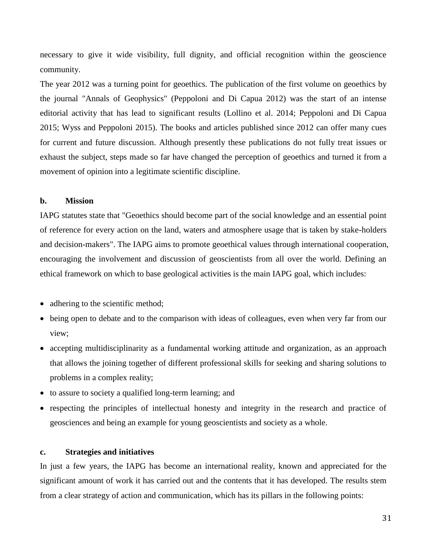necessary to give it wide visibility, full dignity, and official recognition within the geoscience community.

The year 2012 was a turning point for geoethics. The publication of the first volume on geoethics by the journal "Annals of Geophysics" (Peppoloni and Di Capua 2012) was the start of an intense editorial activity that has lead to significant results (Lollino et al. 2014; Peppoloni and Di Capua 2015; Wyss and Peppoloni 2015). The books and articles published since 2012 can offer many cues for current and future discussion. Although presently these publications do not fully treat issues or exhaust the subject, steps made so far have changed the perception of geoethics and turned it from a movement of opinion into a legitimate scientific discipline.

## **b. Mission**

IAPG statutes state that "Geoethics should become part of the social knowledge and an essential point of reference for every action on the land, waters and atmosphere usage that is taken by stake-holders and decision-makers". The IAPG aims to promote geoethical values through international cooperation, encouraging the involvement and discussion of geoscientists from all over the world. Defining an ethical framework on which to base geological activities is the main IAPG goal, which includes:

- adhering to the scientific method;
- being open to debate and to the comparison with ideas of colleagues, even when very far from our view;
- accepting multidisciplinarity as a fundamental working attitude and organization, as an approach that allows the joining together of different professional skills for seeking and sharing solutions to problems in a complex reality;
- to assure to society a qualified long-term learning; and
- respecting the principles of intellectual honesty and integrity in the research and practice of geosciences and being an example for young geoscientists and society as a whole.

#### **c. Strategies and initiatives**

In just a few years, the IAPG has become an international reality, known and appreciated for the significant amount of work it has carried out and the contents that it has developed. The results stem from a clear strategy of action and communication, which has its pillars in the following points: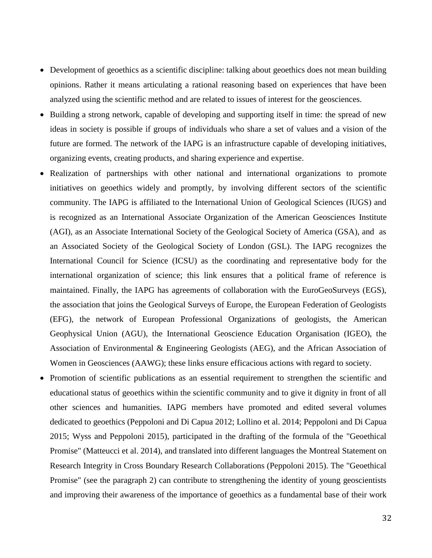- Development of geoethics as a scientific discipline: talking about geoethics does not mean building opinions. Rather it means articulating a rational reasoning based on experiences that have been analyzed using the scientific method and are related to issues of interest for the geosciences.
- Building a strong network, capable of developing and supporting itself in time: the spread of new ideas in society is possible if groups of individuals who share a set of values and a vision of the future are formed. The network of the IAPG is an infrastructure capable of developing initiatives, organizing events, creating products, and sharing experience and expertise.
- Realization of partnerships with other national and international organizations to promote initiatives on geoethics widely and promptly, by involving different sectors of the scientific community. The IAPG is affiliated to the International Union of Geological Sciences (IUGS) and is recognized as an International Associate Organization of the American Geosciences Institute (AGI), as an Associate International Society of the Geological Society of America (GSA), and as an Associated Society of the Geological Society of London (GSL). The IAPG recognizes the International Council for Science (ICSU) as the coordinating and representative body for the international organization of science; this link ensures that a political frame of reference is maintained. Finally, the IAPG has agreements of collaboration with the EuroGeoSurveys (EGS), the association that joins the Geological Surveys of Europe, the European Federation of Geologists (EFG), the network of European Professional Organizations of geologists, the American Geophysical Union (AGU), the International Geoscience Education Organisation (IGEO), the Association of Environmental & Engineering Geologists (AEG), and the African Association of Women in Geosciences (AAWG); these links ensure efficacious actions with regard to society.
- Promotion of scientific publications as an essential requirement to strengthen the scientific and educational status of geoethics within the scientific community and to give it dignity in front of all other sciences and humanities. IAPG members have promoted and edited several volumes dedicated to geoethics (Peppoloni and Di Capua 2012; Lollino et al. 2014; Peppoloni and Di Capua 2015; Wyss and Peppoloni 2015), participated in the drafting of the formula of the "Geoethical Promise" (Matteucci et al. 2014), and translated into different languages the Montreal Statement on Research Integrity in Cross Boundary Research Collaborations (Peppoloni 2015). The "Geoethical Promise" (see the paragraph 2) can contribute to strengthening the identity of young geoscientists and improving their awareness of the importance of geoethics as a fundamental base of their work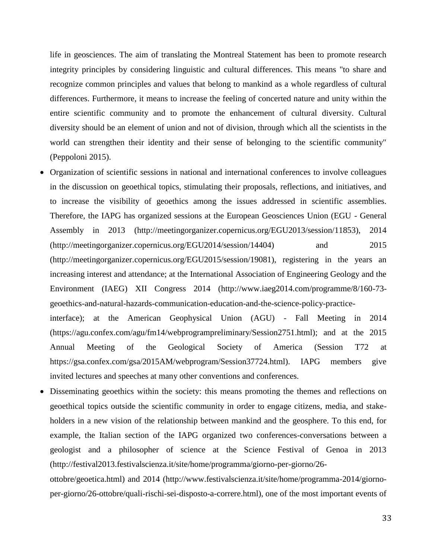life in geosciences. The aim of translating the Montreal Statement has been to promote research integrity principles by considering linguistic and cultural differences. This means "to share and recognize common principles and values that belong to mankind as a whole regardless of cultural differences. Furthermore, it means to increase the feeling of concerted nature and unity within the entire scientific community and to promote the enhancement of cultural diversity. Cultural diversity should be an element of union and not of division, through which all the scientists in the world can strengthen their identity and their sense of belonging to the scientific community" (Peppoloni 2015).

- Organization of scientific sessions in national and international conferences to involve colleagues in the discussion on geoethical topics, stimulating their proposals, reflections, and initiatives, and to increase the visibility of geoethics among the issues addressed in scientific assemblies. Therefore, the IAPG has organized sessions at the European Geosciences Union (EGU - General Assembly in 2013 (http://meetingorganizer.copernicus.org/EGU2013/session/11853), 2014 (http://meetingorganizer.copernicus.org/EGU2014/session/14404) and 2015 (http://meetingorganizer.copernicus.org/EGU2015/session/19081), registering in the years an increasing interest and attendance; at the International Association of Engineering Geology and the Environment (IAEG) XII Congress 2014 (http://www.iaeg2014.com/programme/8/160-73 geoethics-and-natural-hazards-communication-education-and-the-science-policy-practiceinterface); at the American Geophysical Union (AGU) - Fall Meeting in 2014 (https://agu.confex.com/agu/fm14/webprogrampreliminary/Session2751.html); and at the 2015 Annual Meeting of the Geological Society of America (Session T72 at https://gsa.confex.com/gsa/2015AM/webprogram/Session37724.html). IAPG members give invited lectures and speeches at many other conventions and conferences.
- Disseminating geoethics within the society: this means promoting the themes and reflections on geoethical topics outside the scientific community in order to engage citizens, media, and stakeholders in a new vision of the relationship between mankind and the geosphere. To this end, for example, the Italian section of the IAPG organized two conferences-conversations between a geologist and a philosopher of science at the Science Festival of Genoa in 2013 (http://festival2013.festivalscienza.it/site/home/programma/giorno-per-giorno/26 ottobre/geoetica.html) and 2014 (http://www.festivalscienza.it/site/home/programma-2014/giornoper-giorno/26-ottobre/quali-rischi-sei-disposto-a-correre.html), one of the most important events of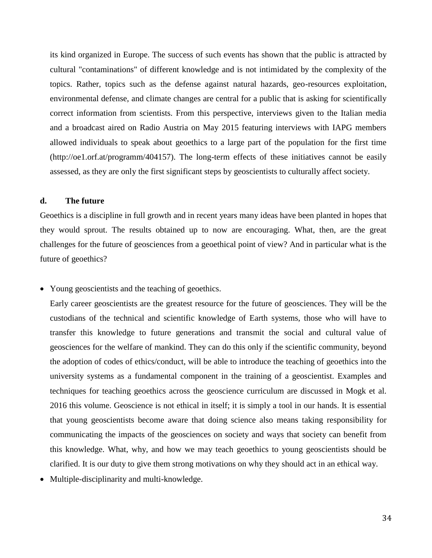its kind organized in Europe. The success of such events has shown that the public is attracted by cultural "contaminations" of different knowledge and is not intimidated by the complexity of the topics. Rather, topics such as the defense against natural hazards, geo-resources exploitation, environmental defense, and climate changes are central for a public that is asking for scientifically correct information from scientists. From this perspective, interviews given to the Italian media and a broadcast aired on Radio Austria on May 2015 featuring interviews with IAPG members allowed individuals to speak about geoethics to a large part of the population for the first time (http://oe1.orf.at/programm/404157). The long-term effects of these initiatives cannot be easily assessed, as they are only the first significant steps by geoscientists to culturally affect society.

## **d. The future**

Geoethics is a discipline in full growth and in recent years many ideas have been planted in hopes that they would sprout. The results obtained up to now are encouraging. What, then, are the great challenges for the future of geosciences from a geoethical point of view? And in particular what is the future of geoethics?

• Young geoscientists and the teaching of geoethics.

Early career geoscientists are the greatest resource for the future of geosciences. They will be the custodians of the technical and scientific knowledge of Earth systems, those who will have to transfer this knowledge to future generations and transmit the social and cultural value of geosciences for the welfare of mankind. They can do this only if the scientific community, beyond the adoption of codes of ethics/conduct, will be able to introduce the teaching of geoethics into the university systems as a fundamental component in the training of a geoscientist. Examples and techniques for teaching geoethics across the geoscience curriculum are discussed in Mogk et al. 2016 this volume. Geoscience is not ethical in itself; it is simply a tool in our hands. It is essential that young geoscientists become aware that doing science also means taking responsibility for communicating the impacts of the geosciences on society and ways that society can benefit from this knowledge. What, why, and how we may teach geoethics to young geoscientists should be clarified. It is our duty to give them strong motivations on why they should act in an ethical way.

Multiple-disciplinarity and multi-knowledge.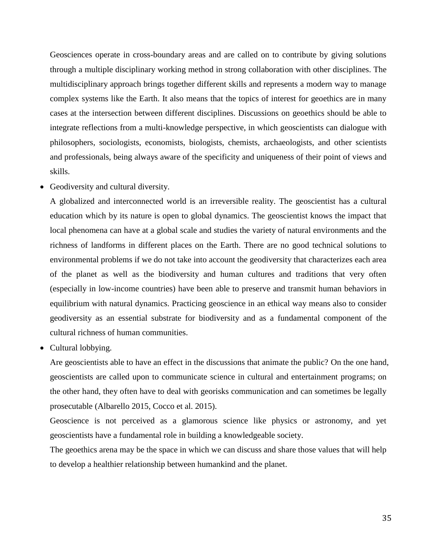Geosciences operate in cross-boundary areas and are called on to contribute by giving solutions through a multiple disciplinary working method in strong collaboration with other disciplines. The multidisciplinary approach brings together different skills and represents a modern way to manage complex systems like the Earth. It also means that the topics of interest for geoethics are in many cases at the intersection between different disciplines. Discussions on geoethics should be able to integrate reflections from a multi-knowledge perspective, in which geoscientists can dialogue with philosophers, sociologists, economists, biologists, chemists, archaeologists, and other scientists and professionals, being always aware of the specificity and uniqueness of their point of views and skills.

• Geodiversity and cultural diversity.

A globalized and interconnected world is an irreversible reality. The geoscientist has a cultural education which by its nature is open to global dynamics. The geoscientist knows the impact that local phenomena can have at a global scale and studies the variety of natural environments and the richness of landforms in different places on the Earth. There are no good technical solutions to environmental problems if we do not take into account the geodiversity that characterizes each area of the planet as well as the biodiversity and human cultures and traditions that very often (especially in low-income countries) have been able to preserve and transmit human behaviors in equilibrium with natural dynamics. Practicing geoscience in an ethical way means also to consider geodiversity as an essential substrate for biodiversity and as a fundamental component of the cultural richness of human communities.

• Cultural lobbying.

Are geoscientists able to have an effect in the discussions that animate the public? On the one hand, geoscientists are called upon to communicate science in cultural and entertainment programs; on the other hand, they often have to deal with georisks communication and can sometimes be legally prosecutable (Albarello 2015, Cocco et al. 2015).

Geoscience is not perceived as a glamorous science like physics or astronomy, and yet geoscientists have a fundamental role in building a knowledgeable society.

The geoethics arena may be the space in which we can discuss and share those values that will help to develop a healthier relationship between humankind and the planet.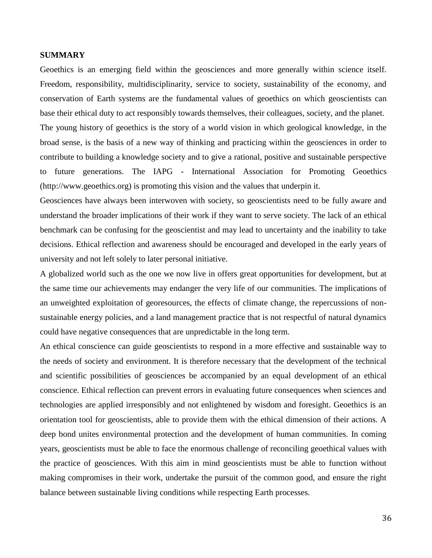#### **SUMMARY**

Geoethics is an emerging field within the geosciences and more generally within science itself. Freedom, responsibility, multidisciplinarity, service to society, sustainability of the economy, and conservation of Earth systems are the fundamental values of geoethics on which geoscientists can base their ethical duty to act responsibly towards themselves, their colleagues, society, and the planet. The young history of geoethics is the story of a world vision in which geological knowledge, in the broad sense, is the basis of a new way of thinking and practicing within the geosciences in order to contribute to building a knowledge society and to give a rational, positive and sustainable perspective to future generations. The IAPG - International Association for Promoting Geoethics (http://www.geoethics.org) is promoting this vision and the values that underpin it.

Geosciences have always been interwoven with society, so geoscientists need to be fully aware and understand the broader implications of their work if they want to serve society. The lack of an ethical benchmark can be confusing for the geoscientist and may lead to uncertainty and the inability to take decisions. Ethical reflection and awareness should be encouraged and developed in the early years of university and not left solely to later personal initiative.

A globalized world such as the one we now live in offers great opportunities for development, but at the same time our achievements may endanger the very life of our communities. The implications of an unweighted exploitation of georesources, the effects of climate change, the repercussions of nonsustainable energy policies, and a land management practice that is not respectful of natural dynamics could have negative consequences that are unpredictable in the long term.

An ethical conscience can guide geoscientists to respond in a more effective and sustainable way to the needs of society and environment. It is therefore necessary that the development of the technical and scientific possibilities of geosciences be accompanied by an equal development of an ethical conscience. Ethical reflection can prevent errors in evaluating future consequences when sciences and technologies are applied irresponsibly and not enlightened by wisdom and foresight. Geoethics is an orientation tool for geoscientists, able to provide them with the ethical dimension of their actions. A deep bond unites environmental protection and the development of human communities. In coming years, geoscientists must be able to face the enormous challenge of reconciling geoethical values with the practice of geosciences. With this aim in mind geoscientists must be able to function without making compromises in their work, undertake the pursuit of the common good, and ensure the right balance between sustainable living conditions while respecting Earth processes.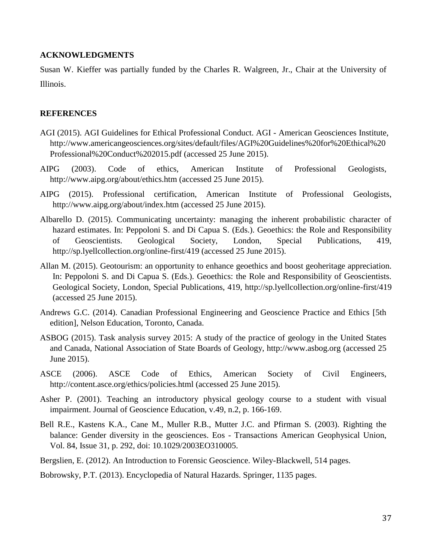## **ACKNOWLEDGMENTS**

Susan W. Kieffer was partially funded by the Charles R. Walgreen, Jr., Chair at the University of Illinois.

## **REFERENCES**

- AGI (2015). AGI Guidelines for Ethical Professional Conduct. AGI American Geosciences Institute, http://www.americangeosciences.org/sites/default/files/AGI%20Guidelines%20for%20Ethical%20 Professional%20Conduct%202015.pdf (accessed 25 June 2015).
- AIPG (2003). Code of ethics, American Institute of Professional Geologists, http://www.aipg.org/about/ethics.htm (accessed 25 June 2015).
- AIPG (2015). Professional certification, American Institute of Professional Geologists, http://www.aipg.org/about/index.htm (accessed 25 June 2015).
- Albarello D. (2015). Communicating uncertainty: managing the inherent probabilistic character of hazard estimates. In: Peppoloni S. and Di Capua S. (Eds.). Geoethics: the Role and Responsibility of Geoscientists. Geological Society, London, Special Publications, 419, http://sp.lyellcollection.org/online-first/419 (accessed 25 June 2015).
- Allan M. (2015). Geotourism: an opportunity to enhance geoethics and boost geoheritage appreciation. In: Peppoloni S. and Di Capua S. (Eds.). Geoethics: the Role and Responsibility of Geoscientists. Geological Society, London, Special Publications, 419, http://sp.lyellcollection.org/online-first/419 (accessed 25 June 2015).
- Andrews G.C. (2014). Canadian Professional Engineering and Geoscience Practice and Ethics [5th edition], Nelson Education, Toronto, Canada.
- ASBOG (2015). Task analysis survey 2015: A study of the practice of geology in the United States and Canada, National Association of State Boards of Geology, http://www.asbog.org (accessed 25 June 2015).
- ASCE (2006). ASCE Code of Ethics, American Society of Civil Engineers, http://content.asce.org/ethics/policies.html (accessed 25 June 2015).
- Asher P. (2001). Teaching an introductory physical geology course to a student with visual impairment. Journal of Geoscience Education, v.49, n.2, p. 166-169.
- Bell R.E., Kastens K.A., Cane M., Muller R.B., Mutter J.C. and Pfirman S. (2003). Righting the balance: Gender diversity in the geosciences. Eos - Transactions American Geophysical Union, Vol. 84, Issue 31, p. 292, doi: 10.1029/2003EO310005.
- Bergslien, E. (2012). An Introduction to Forensic Geoscience. Wiley-Blackwell, 514 pages.

Bobrowsky, P.T. (2013). Encyclopedia of Natural Hazards. Springer, 1135 pages.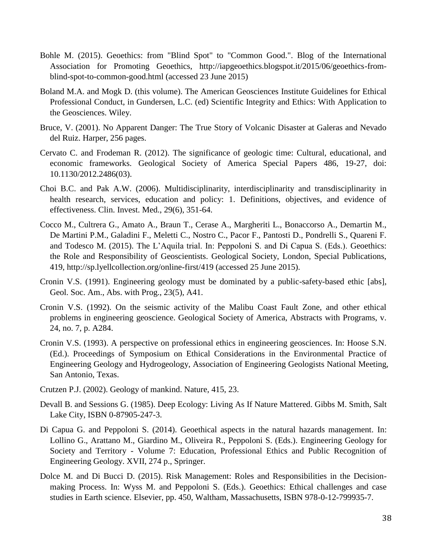- Bohle M. (2015). Geoethics: from "Blind Spot" to "Common Good.". Blog of the International Association for Promoting Geoethics, http://iapgeoethics.blogspot.it/2015/06/geoethics-fromblind-spot-to-common-good.html (accessed 23 June 2015)
- Boland M.A. and Mogk D. (this volume). The American Geosciences Institute Guidelines for Ethical Professional Conduct, in Gundersen, L.C. (ed) Scientific Integrity and Ethics: With Application to the Geosciences. Wiley.
- Bruce, V. (2001). No Apparent Danger: The True Story of Volcanic Disaster at Galeras and Nevado del Ruiz. Harper, 256 pages.
- Cervato C. and Frodeman R. (2012). The significance of geologic time: Cultural, educational, and economic frameworks. Geological Society of America Special Papers 486, 19-27, doi: 10.1130/2012.2486(03).
- Choi B.C. and Pak A.W. (2006). Multidisciplinarity, interdisciplinarity and transdisciplinarity in health research, services, education and policy: 1. Definitions, objectives, and evidence of effectiveness. Clin. Invest. Med., 29(6), 351-64.
- Cocco M., Cultrera G., Amato A., Braun T., Cerase A., Margheriti L., Bonaccorso A., Demartin M., De Martini P.M., Galadini F., Meletti C., Nostro C., Pacor F., Pantosti D., Pondrelli S., Quareni F. and Todesco M. (2015). The L'Aquila trial. In: Peppoloni S. and Di Capua S. (Eds.). Geoethics: the Role and Responsibility of Geoscientists. Geological Society, London, Special Publications, 419, http://sp.lyellcollection.org/online-first/419 (accessed 25 June 2015).
- Cronin V.S. (1991). Engineering geology must be dominated by a public-safety-based ethic [abs], Geol. Soc. Am., Abs. with Prog., 23(5), A41.
- Cronin V.S. (1992). On the seismic activity of the Malibu Coast Fault Zone, and other ethical problems in engineering geoscience. Geological Society of America, Abstracts with Programs, v. 24, no. 7, p. A284.
- Cronin V.S. (1993). A perspective on professional ethics in engineering geosciences. In: Hoose S.N. (Ed.). Proceedings of Symposium on Ethical Considerations in the Environmental Practice of Engineering Geology and Hydrogeology, Association of Engineering Geologists National Meeting, San Antonio, Texas.
- Crutzen P.J. (2002). Geology of mankind. Nature, 415, 23.
- Devall B. and Sessions G. (1985). Deep Ecology: Living As If Nature Mattered. Gibbs M. Smith, Salt Lake City, [ISBN](https://en.wikipedia.org/wiki/International_Standard_Book_Number) [0-87905-247-3.](https://en.wikipedia.org/wiki/Special:BookSources/0-87905-247-3)
- Di Capua G. and Peppoloni S. (2014). Geoethical aspects in the natural hazards management. In: Lollino G., Arattano M., Giardino M., Oliveira R., Peppoloni S. (Eds.). Engineering Geology for Society and Territory - Volume 7: Education, Professional Ethics and Public Recognition of Engineering Geology. XVII, 274 p., Springer.
- Dolce M. and Di Bucci D. (2015). Risk Management: Roles and Responsibilities in the Decisionmaking Process. In: Wyss M. and Peppoloni S. (Eds.). Geoethics: Ethical challenges and case studies in Earth science. Elsevier, pp. 450, Waltham, Massachusetts, ISBN 978-0-12-799935-7.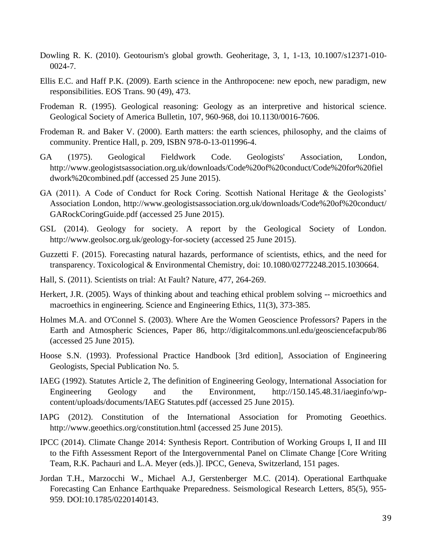- Dowling R. K. (2010). Geotourism's global growth. Geoheritage, 3, 1, 1-13, 10.1007/s12371-010- 0024-7.
- Ellis E.C. and Haff P.K. (2009). Earth science in the Anthropocene: new epoch, new paradigm, new responsibilities. EOS Trans. 90 (49), 473.
- Frodeman R. (1995). Geological reasoning: Geology as an interpretive and historical science. Geological Society of America Bulletin, 107, 960-968, doi 10.1130/0016-7606.
- Frodeman R. and Baker V. (2000). Earth matters: the earth sciences, philosophy, and the claims of community. Prentice Hall, p. 209, ISBN 978-0-13-011996-4.
- GA (1975). Geological Fieldwork Code. Geologists' Association, London, http://www.geologistsassociation.org.uk/downloads/Code%20of%20conduct/Code%20for%20fiel dwork%20combined.pdf (accessed 25 June 2015).
- GA (2011). A Code of Conduct for Rock Coring. Scottish National Heritage & the Geologists' Association London, http://www.geologistsassociation.org.uk/downloads/Code%20of%20conduct/ GARockCoringGuide.pdf (accessed 25 June 2015).
- GSL (2014). Geology for society. A report by the Geological Society of London. http://www.geolsoc.org.uk/geology-for-society (accessed 25 June 2015).
- Guzzetti F. (2015). Forecasting natural hazards, performance of scientists, ethics, and the need for transparency. Toxicological & Environmental Chemistry, doi: 10.1080/02772248.2015.1030664.
- Hall, S. (2011). Scientists on trial: At Fault? Nature, 477, 264-269.
- Herkert, J.R. (2005). Ways of thinking about and teaching ethical problem solving -- microethics and macroethics in engineering. Science and Engineering Ethics, 11(3), 373-385.
- Holmes M.A. and O'Connel S. (2003). Where Are the Women Geoscience Professors? Papers in the Earth and Atmospheric Sciences, Paper 86, http://digitalcommons.unl.edu/geosciencefacpub/86 (accessed 25 June 2015).
- Hoose S.N. (1993). Professional Practice Handbook [3rd edition], Association of Engineering Geologists, Special Publication No. 5.
- IAEG (1992). Statutes Article 2, The definition of Engineering Geology, lnternational Association for Engineering Geology and the Environment, http://150.145.48.31/iaeginfo/wpcontent/uploads/documents/IAEG Statutes.pdf (accessed 25 June 2015).
- IAPG (2012). Constitution of the International Association for Promoting Geoethics. <http://www.geoethics.org/constitution.html> (accessed 25 June 2015).
- IPCC (2014). Climate Change 2014: Synthesis Report. Contribution of Working Groups I, II and III to the Fifth Assessment Report of the Intergovernmental Panel on Climate Change [Core Writing Team, R.K. Pachauri and L.A. Meyer (eds.)]. IPCC, Geneva, Switzerland, 151 pages.
- Jordan T.H., [Marzocchi](https://www.researchgate.net/researcher/70975317_W_Marzocchi) [W., Michael](https://www.researchgate.net/researcher/2068679198_A_J_Michael) A.J, [Gerstenberger](https://www.researchgate.net/researcher/2004914718_M_C_Gerstenberger) M.C. (2014). [Operational Earthquake](https://www.researchgate.net/publication/270463923_Operational_Earthquake_Forecasting_Can_Enhance_Earthquake_Preparedness?ev=prf_pub)  [Forecasting Can Enhance Earthquake Preparedness.](https://www.researchgate.net/publication/270463923_Operational_Earthquake_Forecasting_Can_Enhance_Earthquake_Preparedness?ev=prf_pub) Seismological Research Letters, 85(5), 955- 959. DOI:10.1785/0220140143.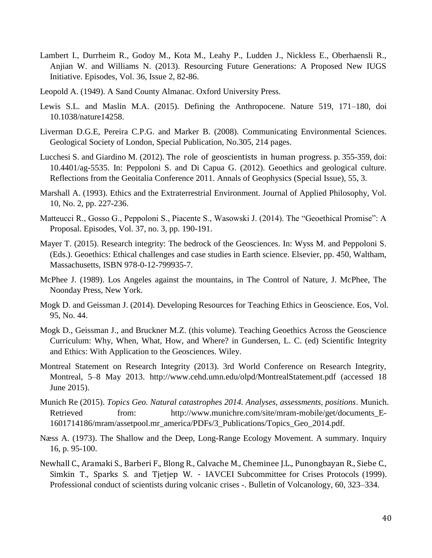- Lambert I., Durrheim R., Godoy M., Kota M., Leahy P., Ludden J., Nickless E., Oberhaensli R., Anjian W. and Williams N. (2013). Resourcing Future Generations: A Proposed New IUGS Initiative. Episodes, Vol. 36, Issue 2, 82-86.
- Leopold A. (1949). A Sand County Almanac. Oxford University Press.
- Lewis S.L. and Maslin M.A. (2015). Defining the Anthropocene. Nature 519, 171–180, doi 10.1038/nature14258.
- Liverman D.G.E, Pereira C.P.G. and Marker B. (2008). Communicating Environmental Sciences. Geological Society of London, Special Publication, No.305, 214 pages.
- Lucchesi S. and Giardino M. (2012). The role of geoscientists in human progress. p. 355-359, doi: 10.4401/ag-5535. In: Peppoloni S. and Di Capua G. (2012). Geoethics and geological culture. Reflections from the Geoitalia Conference 2011. Annals of Geophysics (Special Issue), 55, 3.
- Marshall A. (1993). Ethics and the Extraterrestrial Environment. Journal of Applied Philosophy, Vol. 10, No. 2, pp. 227-236.
- Matteucci R., Gosso G., Peppoloni S., Piacente S., Wasowski J. (2014). The "Geoethical Promise": A Proposal. Episodes, Vol. 37, no. 3, pp. 190-191.
- Mayer T. (2015). Research integrity: The bedrock of the Geosciences. In: Wyss M. and Peppoloni S. (Eds.). Geoethics: Ethical challenges and case studies in Earth science. Elsevier, pp. 450, Waltham, Massachusetts, ISBN 978-0-12-799935-7.
- McPhee J. (1989). Los Angeles against the mountains, in The Control of Nature, J. McPhee, The Noonday Press, New York.
- Mogk D. and Geissman J. (2014). Developing Resources for Teaching Ethics in Geoscience. Eos, Vol. 95, No. 44.
- Mogk D., Geissman J., and Bruckner M.Z. (this volume). Teaching Geoethics Across the Geoscience Curriculum: Why, When, What, How, and Where? in Gundersen, L. C. (ed) Scientific Integrity and Ethics: With Application to the Geosciences. Wiley.
- Montreal Statement on Research Integrity (2013). 3rd World Conference on Research Integrity, Montreal, 5–8 May 2013. <http://www.cehd.umn.edu/olpd/MontrealStatement.pdf> (accessed 18 June 2015).
- Munich Re (2015). *Topics Geo. Natural catastrophes 2014. Analyses, assessments, positions*. Munich. Retrieved from: http://www.munichre.com/site/mram-mobile/get/documents\_E-1601714186/mram/assetpool.mr\_america/PDFs/3\_Publications/Topics\_Geo\_2014.pdf.
- Næss A. (1973). The Shallow and the Deep, Long-Range Ecology Movement. A summary. Inquiry 16, p. 95-100.
- Newhall C., Aramaki S., Barberi F., Blong R., Calvache M., Cheminee J.L., Punongbayan R., Siebe C., Simkin T., Sparks S. and Tjetjep W. - IAVCEI Subcommittee for Crises Protocols (1999). Professional conduct of scientists during volcanic crises -. Bulletin of Volcanology, 60, 323–334.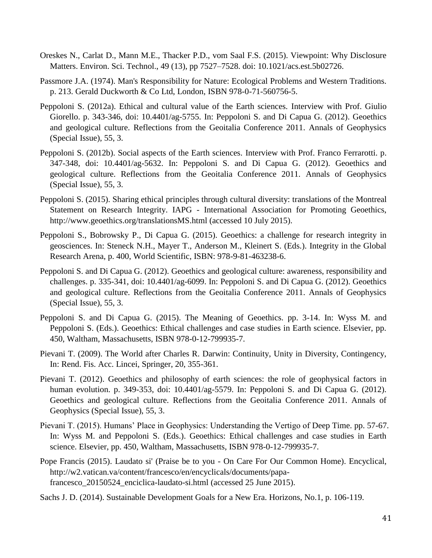- Oreskes N., Carlat D., Mann M.E., Thacker P.D., vom Saal F.S. (2015). Viewpoint: Why Disclosure Matters. Environ. Sci. Technol., 49 (13), pp 7527–7528. doi: 10.1021/acs.est.5b02726.
- Passmore J.A. (1974). Man's Responsibility for Nature: Ecological Problems and Western Traditions. p. 213. Gerald Duckworth & Co Ltd, London, ISBN 978-0-71-560756-5.
- Peppoloni S. (2012a). Ethical and cultural value of the Earth sciences. Interview with Prof. Giulio Giorello. p. 343-346, doi: 10.4401/ag-5755. In: Peppoloni S. and Di Capua G. (2012). Geoethics and geological culture. Reflections from the Geoitalia Conference 2011. Annals of Geophysics (Special Issue), 55, 3.
- Peppoloni S. (2012b). Social aspects of the Earth sciences. Interview with Prof. Franco Ferrarotti. p. 347-348, doi: 10.4401/ag-5632. In: Peppoloni S. and Di Capua G. (2012). Geoethics and geological culture. Reflections from the Geoitalia Conference 2011. Annals of Geophysics (Special Issue), 55, 3.
- Peppoloni S. (2015). Sharing ethical principles through cultural diversity: translations of the Montreal Statement on Research Integrity. IAPG - International Association for Promoting Geoethics, http://www.geoethics.org/translationsMS.html (accessed 10 July 2015).
- Peppoloni S., Bobrowsky P., Di Capua G. (2015). Geoethics: a challenge for research integrity in geosciences. In: Steneck N.H., Mayer T., Anderson M., Kleinert S. (Eds.). Integrity in the Global Research Arena, p. 400, World Scientific, ISBN: 978-9-81-463238-6.
- Peppoloni S. and Di Capua G. (2012). Geoethics and geological culture: awareness, responsibility and challenges. p. 335-341, doi: 10.4401/ag-6099. In: Peppoloni S. and Di Capua G. (2012). Geoethics and geological culture. Reflections from the Geoitalia Conference 2011. Annals of Geophysics (Special Issue), 55, 3.
- Peppoloni S. and Di Capua G. (2015). The Meaning of Geoethics. pp. 3-14. In: Wyss M. and Peppoloni S. (Eds.). Geoethics: Ethical challenges and case studies in Earth science. Elsevier, pp. 450, Waltham, Massachusetts, ISBN 978-0-12-799935-7.
- Pievani T. (2009). The World after Charles R. Darwin: Continuity, Unity in Diversity, Contingency, In: Rend. Fis. Acc. Lincei, Springer, 20, 355-361.
- Pievani T. (2012). Geoethics and philosophy of earth sciences: the role of geophysical factors in human evolution. p. 349-353, doi: 10.4401/ag-5579. In: Peppoloni S. and Di Capua G. (2012). Geoethics and geological culture. Reflections from the Geoitalia Conference 2011. Annals of Geophysics (Special Issue), 55, 3.
- Pievani T. (2015). Humans' Place in Geophysics: Understanding the Vertigo of Deep Time. pp. 57-67. In: Wyss M. and Peppoloni S. (Eds.). Geoethics: Ethical challenges and case studies in Earth science. Elsevier, pp. 450, Waltham, Massachusetts, ISBN 978-0-12-799935-7.
- Pope Francis (2015). Laudato si' (Praise be to you On Care For Our Common Home). Encyclical, [http://w2.vatican.va/content/francesco/en/encyclicals/documents/papa](http://w2.vatican.va/content/francesco/en/encyclicals/documents/papa-francesco_20150524_enciclica-laudato-si.html)[francesco\\_20150524\\_enciclica-laudato-si.html](http://w2.vatican.va/content/francesco/en/encyclicals/documents/papa-francesco_20150524_enciclica-laudato-si.html) (accessed 25 June 2015).
- Sachs J. D. (2014). Sustainable Development Goals for a New Era. Horizons, No.1, p. 106-119.